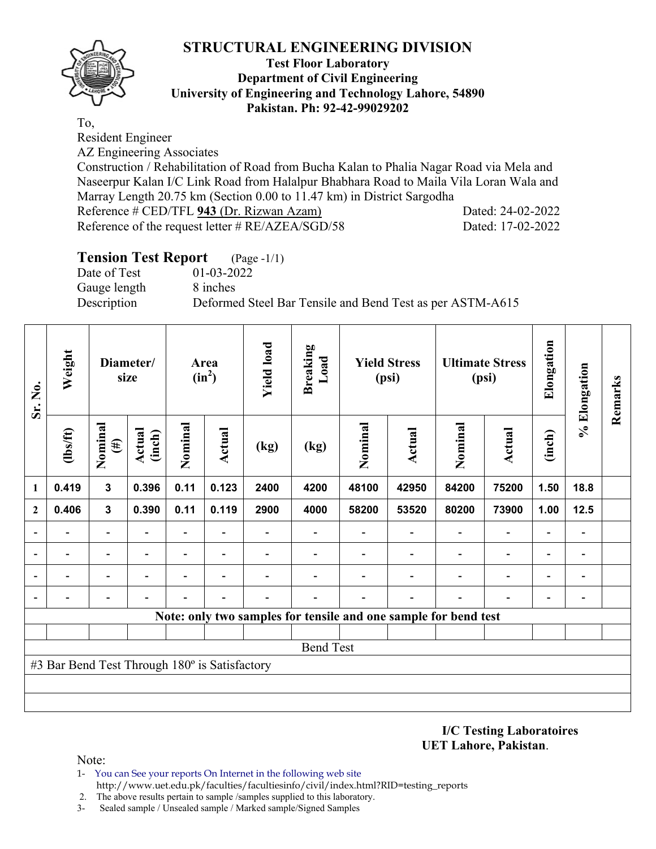

#### **Test Floor Laboratory Department of Civil Engineering University of Engineering and Technology Lahore, 54890 Pakistan. Ph: 92-42-99029202**

To,

Resident Engineer

AZ Engineering Associates

Construction / Rehabilitation of Road from Bucha Kalan to Phalia Nagar Road via Mela and Naseerpur Kalan I/C Link Road from Halalpur Bhabhara Road to Maila Vila Loran Wala and Marray Length 20.75 km (Section 0.00 to 11.47 km) in District Sargodha Reference # CED/TFL 943 (Dr. Rizwan Azam) Dated: 24-02-2022

Reference of the request letter # RE/AZEA/SGD/58 Dated: 17-02-2022

| <b>Tension Test Report</b> (Page -1/1) |                                                           |
|----------------------------------------|-----------------------------------------------------------|
| Date of Test                           | 01-03-2022                                                |
| Gauge length                           | 8 inches                                                  |
| Description                            | Deformed Steel Bar Tensile and Bend Test as per ASTM-A615 |

| Sr. No.                  | Weight                                        |                          | Diameter/<br>size |                          | Area<br>$(in^2)$         | <b>Yield load</b> | <b>Breaking</b><br>Load |         | <b>Yield Stress</b><br>(psi)                                    |                          | <b>Ultimate Stress</b><br>(psi) | Elongation               | % Elongation             | Remarks |  |  |  |  |
|--------------------------|-----------------------------------------------|--------------------------|-------------------|--------------------------|--------------------------|-------------------|-------------------------|---------|-----------------------------------------------------------------|--------------------------|---------------------------------|--------------------------|--------------------------|---------|--|--|--|--|
|                          | (lbs/ft)                                      | Nominal<br>$(\#)$        | Actual<br>(inch)  | Nominal                  | Actual                   | (kg)              | (kg)                    | Nominal | <b>Actual</b>                                                   | Nominal                  | Actual                          | (inch)                   |                          |         |  |  |  |  |
| 1                        | 0.419                                         | $\mathbf{3}$             | 0.396             | 0.11                     | 0.123                    | 2400              | 4200                    | 48100   | 42950                                                           | 84200                    | 75200                           | 1.50                     | 18.8                     |         |  |  |  |  |
| $\mathbf{2}$             | 0.406                                         | $\mathbf{3}$             | 0.390             | 0.11                     | 0.119                    | 2900              | 4000                    | 58200   | 53520                                                           | 80200                    | 73900                           | 1.00                     | 12.5                     |         |  |  |  |  |
|                          |                                               | $\overline{\phantom{0}}$ |                   | $\overline{\phantom{0}}$ |                          |                   |                         |         |                                                                 | $\overline{\phantom{0}}$ | $\qquad \qquad \blacksquare$    | $\overline{a}$           |                          |         |  |  |  |  |
| $\overline{\phantom{a}}$ |                                               | $\overline{\phantom{0}}$ |                   | $\overline{\phantom{0}}$ | $\overline{\phantom{0}}$ |                   |                         |         |                                                                 |                          | $\overline{\phantom{0}}$        | $\overline{\phantom{0}}$ | $\overline{\phantom{0}}$ |         |  |  |  |  |
|                          |                                               |                          |                   |                          |                          |                   |                         |         |                                                                 |                          | $\qquad \qquad \blacksquare$    | $\overline{\phantom{0}}$ |                          |         |  |  |  |  |
|                          |                                               |                          |                   |                          |                          |                   |                         |         |                                                                 |                          |                                 |                          |                          |         |  |  |  |  |
|                          |                                               |                          |                   |                          |                          |                   |                         |         | Note: only two samples for tensile and one sample for bend test |                          |                                 |                          |                          |         |  |  |  |  |
|                          |                                               |                          |                   |                          |                          |                   |                         |         |                                                                 |                          |                                 |                          |                          |         |  |  |  |  |
|                          |                                               |                          |                   |                          |                          |                   | <b>Bend Test</b>        |         |                                                                 |                          |                                 |                          |                          |         |  |  |  |  |
|                          | #3 Bar Bend Test Through 180° is Satisfactory |                          |                   |                          |                          |                   |                         |         |                                                                 |                          |                                 |                          |                          |         |  |  |  |  |
|                          |                                               |                          |                   |                          |                          |                   |                         |         |                                                                 |                          |                                 |                          |                          |         |  |  |  |  |
|                          |                                               |                          |                   |                          |                          |                   |                         |         |                                                                 |                          |                                 |                          |                          |         |  |  |  |  |

**I/C Testing Laboratoires UET Lahore, Pakistan**.

- 1- You can See your reports On Internet in the following web site http://www.uet.edu.pk/faculties/facultiesinfo/civil/index.html?RID=testing\_reports
- 2. The above results pertain to sample /samples supplied to this laboratory.
- 3- Sealed sample / Unsealed sample / Marked sample/Signed Samples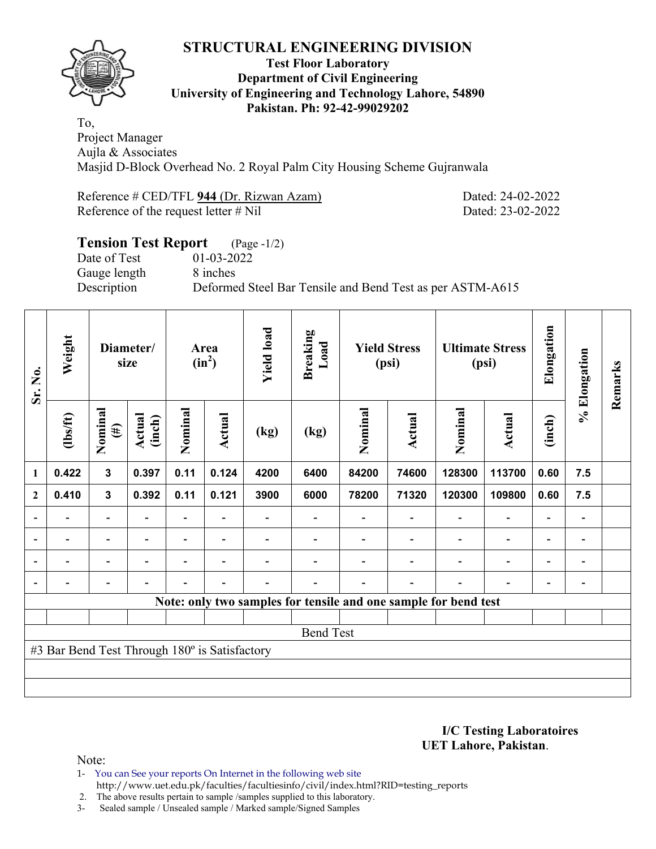

#### **Test Floor Laboratory Department of Civil Engineering University of Engineering and Technology Lahore, 54890 Pakistan. Ph: 92-42-99029202**

To, Project Manager Aujla & Associates Masjid D-Block Overhead No. 2 Royal Palm City Housing Scheme Gujranwala

Reference # CED/TFL 944 (Dr. Rizwan Azam) Dated: 24-02-2022 Reference of the request letter # Nil Dated: 23-02-2022

# **Tension Test Report** (Page -1/2)<br>Date of Test 01-03-2022 Date of Test Gauge length 8 inches Description Deformed Steel Bar Tensile and Bend Test as per ASTM-A615

| Sr. No.        | Weight                                        | Diameter/<br>size                           |                |      |                          | Area<br>$(in^2)$ |                  | <b>Yield load</b> | <b>Breaking</b><br>Load<br><b>Yield Stress</b><br>(psi) |                                                                 |                          | <b>Ultimate Stress</b><br>(psi) |                | Elongation | % Elongation | Remarks |        |         |               |        |  |  |
|----------------|-----------------------------------------------|---------------------------------------------|----------------|------|--------------------------|------------------|------------------|-------------------|---------------------------------------------------------|-----------------------------------------------------------------|--------------------------|---------------------------------|----------------|------------|--------------|---------|--------|---------|---------------|--------|--|--|
|                | $\frac{2}{10}$                                | Nominal<br>Actual<br>$(\#)$<br>$\mathbf{3}$ |                |      |                          | (inch)<br>0.397  |                  |                   |                                                         |                                                                 |                          | Nominal                         | <b>Actual</b>  | (kg)       | (kg)         | Nominal | Actual | Nominal | <b>Actual</b> | (inch) |  |  |
| $\mathbf{1}$   | 0.422                                         |                                             |                | 0.11 | 0.124                    | 4200             | 6400             | 84200             | 74600                                                   | 128300                                                          | 113700                   | 0.60                            | 7.5            |            |              |         |        |         |               |        |  |  |
| $\mathbf{2}$   | 0.410                                         | $\mathbf{3}$                                | 0.392          | 0.11 | 0.121                    | 3900             | 6000             | 78200             | 71320                                                   | 120300                                                          | 109800                   | 0.60                            | 7.5            |            |              |         |        |         |               |        |  |  |
|                |                                               | $\overline{\phantom{0}}$                    |                |      |                          |                  |                  |                   |                                                         |                                                                 | $\overline{\phantom{0}}$ |                                 |                |            |              |         |        |         |               |        |  |  |
| $\overline{a}$ |                                               | $\overline{\phantom{0}}$                    |                |      | $\overline{\phantom{0}}$ |                  |                  |                   |                                                         |                                                                 | $\overline{\phantom{0}}$ | $\overline{\phantom{0}}$        |                |            |              |         |        |         |               |        |  |  |
| $\blacksquare$ |                                               | Ξ.                                          | $\blacksquare$ |      | $\overline{\phantom{a}}$ |                  |                  |                   |                                                         | ۰                                                               | $\overline{\phantom{0}}$ | $\blacksquare$                  | $\blacksquare$ |            |              |         |        |         |               |        |  |  |
|                | -                                             | $\overline{a}$                              |                |      | $\blacksquare$           |                  |                  |                   | ۰                                                       | $\blacksquare$                                                  | $\overline{a}$           | $\overline{\phantom{a}}$        |                |            |              |         |        |         |               |        |  |  |
|                |                                               |                                             |                |      |                          |                  |                  |                   |                                                         | Note: only two samples for tensile and one sample for bend test |                          |                                 |                |            |              |         |        |         |               |        |  |  |
|                |                                               |                                             |                |      |                          |                  |                  |                   |                                                         |                                                                 |                          |                                 |                |            |              |         |        |         |               |        |  |  |
|                |                                               |                                             |                |      |                          |                  | <b>Bend Test</b> |                   |                                                         |                                                                 |                          |                                 |                |            |              |         |        |         |               |        |  |  |
|                | #3 Bar Bend Test Through 180° is Satisfactory |                                             |                |      |                          |                  |                  |                   |                                                         |                                                                 |                          |                                 |                |            |              |         |        |         |               |        |  |  |
|                |                                               |                                             |                |      |                          |                  |                  |                   |                                                         |                                                                 |                          |                                 |                |            |              |         |        |         |               |        |  |  |
|                |                                               |                                             |                |      |                          |                  |                  |                   |                                                         |                                                                 |                          |                                 |                |            |              |         |        |         |               |        |  |  |

**I/C Testing Laboratoires UET Lahore, Pakistan**.

Note:

1- You can See your reports On Internet in the following web site http://www.uet.edu.pk/faculties/facultiesinfo/civil/index.html?RID=testing\_reports

2. The above results pertain to sample /samples supplied to this laboratory.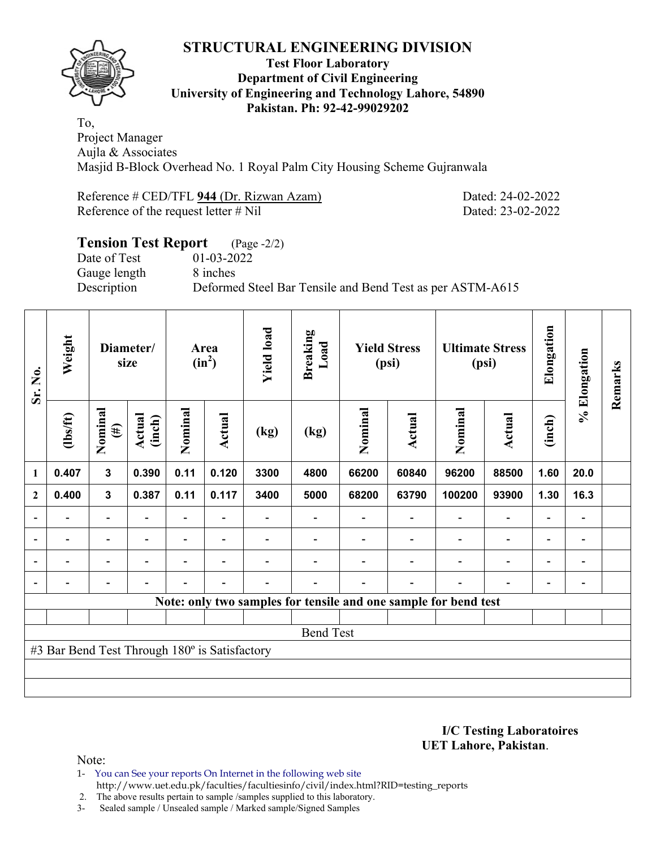

#### **Test Floor Laboratory Department of Civil Engineering University of Engineering and Technology Lahore, 54890 Pakistan. Ph: 92-42-99029202**

To, Project Manager Aujla & Associates Masjid B-Block Overhead No. 1 Royal Palm City Housing Scheme Gujranwala

Reference # CED/TFL 944 (Dr. Rizwan Azam) Dated: 24-02-2022 Reference of the request letter # Nil Dated: 23-02-2022

# **Tension Test Report** (Page -2/2)<br>Date of Test 01-03-2022 Date of Test Gauge length 8 inches Description Deformed Steel Bar Tensile and Bend Test as per ASTM-A615

| Sr. No.                  | Weight                                        | Diameter/<br>size        |                             |      | Area<br>$(in^2)$         | <b>Yield load</b> | <b>Breaking</b><br>Load |         | <b>Yield Stress</b><br>(psi) | <b>Ultimate Stress</b>                                          | (psi)                    | Elongation               | % Elongation                 | Remarks |
|--------------------------|-----------------------------------------------|--------------------------|-----------------------------|------|--------------------------|-------------------|-------------------------|---------|------------------------------|-----------------------------------------------------------------|--------------------------|--------------------------|------------------------------|---------|
|                          | $\frac{2}{10}$                                | Nominal<br>$(\#)$        | Nominal<br>Actual<br>(inch) |      | <b>Actual</b>            | (kg)              | (kg)                    | Nominal | Actual                       | Nominal                                                         | Actual                   | (inch)                   |                              |         |
| $\mathbf{1}$             | 0.407                                         | $\mathbf{3}$             | 0.390                       | 0.11 | 0.120                    | 3300              | 4800                    | 66200   | 60840                        | 96200                                                           | 88500                    | 1.60                     | 20.0                         |         |
| $\mathbf{2}$             | 0.400                                         | $\mathbf{3}$             | 0.387                       | 0.11 | 0.117                    | 3400              | 5000                    | 68200   | 63790                        | 100200                                                          | 93900                    | 1.30                     | 16.3                         |         |
|                          |                                               | $\overline{\phantom{0}}$ |                             | Ξ.   |                          |                   |                         |         |                              |                                                                 | $\overline{\phantom{0}}$ | $\overline{a}$           |                              |         |
| $\overline{a}$           |                                               | $\overline{a}$           |                             |      | $\overline{\phantom{0}}$ |                   |                         |         |                              |                                                                 | $\overline{a}$           | -                        | -                            |         |
| $\overline{\phantom{0}}$ |                                               | $\overline{\phantom{a}}$ | $\overline{\phantom{0}}$    | -    | $\blacksquare$           |                   |                         |         |                              | $\overline{\phantom{0}}$                                        | $\overline{\phantom{a}}$ | -                        | $\qquad \qquad \blacksquare$ |         |
|                          | $\overline{a}$                                | $\overline{\phantom{0}}$ |                             |      | $\blacksquare$           |                   |                         |         | $\overline{a}$               | $\blacksquare$                                                  | $\overline{\phantom{0}}$ | $\overline{\phantom{a}}$ | $\overline{\phantom{0}}$     |         |
|                          |                                               |                          |                             |      |                          |                   |                         |         |                              | Note: only two samples for tensile and one sample for bend test |                          |                          |                              |         |
|                          |                                               |                          |                             |      |                          |                   |                         |         |                              |                                                                 |                          |                          |                              |         |
|                          |                                               |                          |                             |      |                          |                   | <b>Bend Test</b>        |         |                              |                                                                 |                          |                          |                              |         |
|                          | #3 Bar Bend Test Through 180° is Satisfactory |                          |                             |      |                          |                   |                         |         |                              |                                                                 |                          |                          |                              |         |
|                          |                                               |                          |                             |      |                          |                   |                         |         |                              |                                                                 |                          |                          |                              |         |
|                          |                                               |                          |                             |      |                          |                   |                         |         |                              |                                                                 |                          |                          |                              |         |

**I/C Testing Laboratoires UET Lahore, Pakistan**.

- 1- You can See your reports On Internet in the following web site http://www.uet.edu.pk/faculties/facultiesinfo/civil/index.html?RID=testing\_reports
- 2. The above results pertain to sample /samples supplied to this laboratory.
- 3- Sealed sample / Unsealed sample / Marked sample/Signed Samples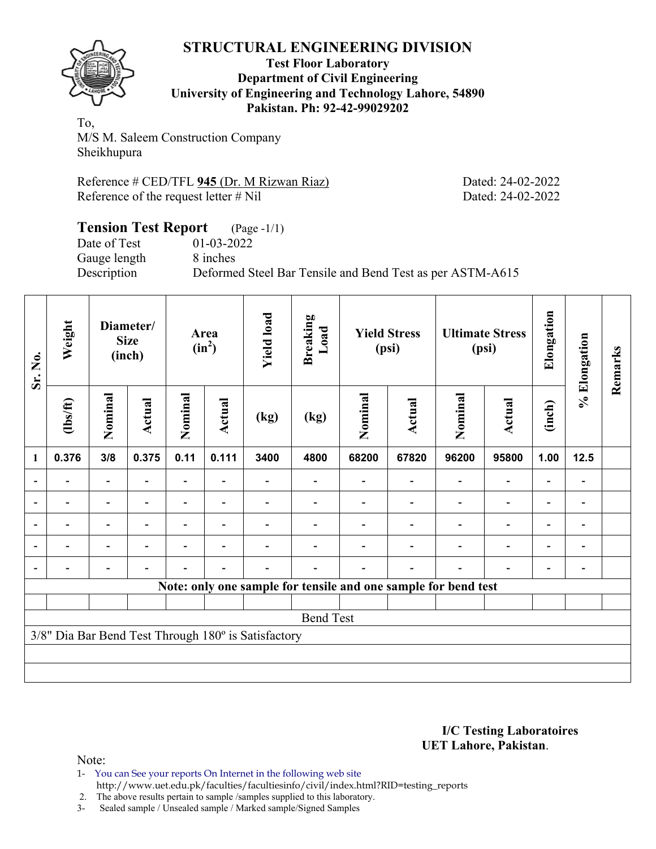

#### **Test Floor Laboratory Department of Civil Engineering University of Engineering and Technology Lahore, 54890 Pakistan. Ph: 92-42-99029202**

To, M/S M. Saleem Construction Company Sheikhupura

Reference # CED/TFL 945 (Dr. M Rizwan Riaz) Dated: 24-02-2022 Reference of the request letter # Nil Dated: 24-02-2022

#### **Tension Test Report** (Page -1/1) Date of Test 01-03-2022 Gauge length 8 inches Description Deformed Steel Bar Tensile and Bend Test as per ASTM-A615

| Sr. No.                  | Weight         |                          | Diameter/<br><b>Size</b><br>(inch) |                | Area<br>$(in^2)$         | <b>Yield load</b>                                   | <b>Breaking</b><br>Load |                                                                | <b>Yield Stress</b><br>(psi) |         | <b>Ultimate Stress</b><br>(psi) | Elongation | % Elongation             | Remarks |
|--------------------------|----------------|--------------------------|------------------------------------|----------------|--------------------------|-----------------------------------------------------|-------------------------|----------------------------------------------------------------|------------------------------|---------|---------------------------------|------------|--------------------------|---------|
|                          | $\frac{2}{10}$ | Nominal<br>Actual<br>3/8 |                                    | Nominal        | Actual                   | (kg)                                                | (kg)                    | Nominal                                                        | <b>Actual</b>                | Nominal | <b>Actual</b>                   | (inch)     |                          |         |
| 1                        | 0.376          |                          | 0.375                              | 0.11           | 0.111                    | 3400                                                | 4800                    | 68200                                                          | 67820                        | 96200   | 95800                           | 1.00       | 12.5                     |         |
| $\blacksquare$           |                | $\overline{\phantom{a}}$ |                                    | Ξ.             | $\blacksquare$           |                                                     |                         |                                                                |                              |         |                                 |            | $\overline{\phantom{a}}$ |         |
|                          |                | $\blacksquare$           |                                    | $\blacksquare$ | $\overline{\phantom{a}}$ |                                                     |                         |                                                                |                              |         |                                 |            | -                        |         |
| $\overline{a}$           |                | -                        |                                    |                | $\overline{\phantom{0}}$ |                                                     |                         |                                                                |                              |         |                                 |            | -                        |         |
| $\overline{\phantom{0}}$ | -              | -                        | $\blacksquare$                     |                | $\overline{\phantom{a}}$ |                                                     |                         |                                                                |                              |         | $\blacksquare$                  | ۰          | $\overline{\phantom{a}}$ |         |
| $\blacksquare$           | $\blacksquare$ | -                        |                                    |                | $\blacksquare$           |                                                     |                         |                                                                |                              |         |                                 |            | -                        |         |
|                          |                |                          |                                    |                |                          |                                                     |                         | Note: only one sample for tensile and one sample for bend test |                              |         |                                 |            |                          |         |
|                          |                |                          |                                    |                |                          |                                                     |                         |                                                                |                              |         |                                 |            |                          |         |
|                          |                |                          |                                    |                |                          |                                                     | <b>Bend Test</b>        |                                                                |                              |         |                                 |            |                          |         |
|                          |                |                          |                                    |                |                          | 3/8" Dia Bar Bend Test Through 180° is Satisfactory |                         |                                                                |                              |         |                                 |            |                          |         |
|                          |                |                          |                                    |                |                          |                                                     |                         |                                                                |                              |         |                                 |            |                          |         |
|                          |                |                          |                                    |                |                          |                                                     |                         |                                                                |                              |         |                                 |            |                          |         |

#### **I/C Testing Laboratoires UET Lahore, Pakistan**.

- 1- You can See your reports On Internet in the following web site http://www.uet.edu.pk/faculties/facultiesinfo/civil/index.html?RID=testing\_reports
- 2. The above results pertain to sample /samples supplied to this laboratory.
- 3- Sealed sample / Unsealed sample / Marked sample/Signed Samples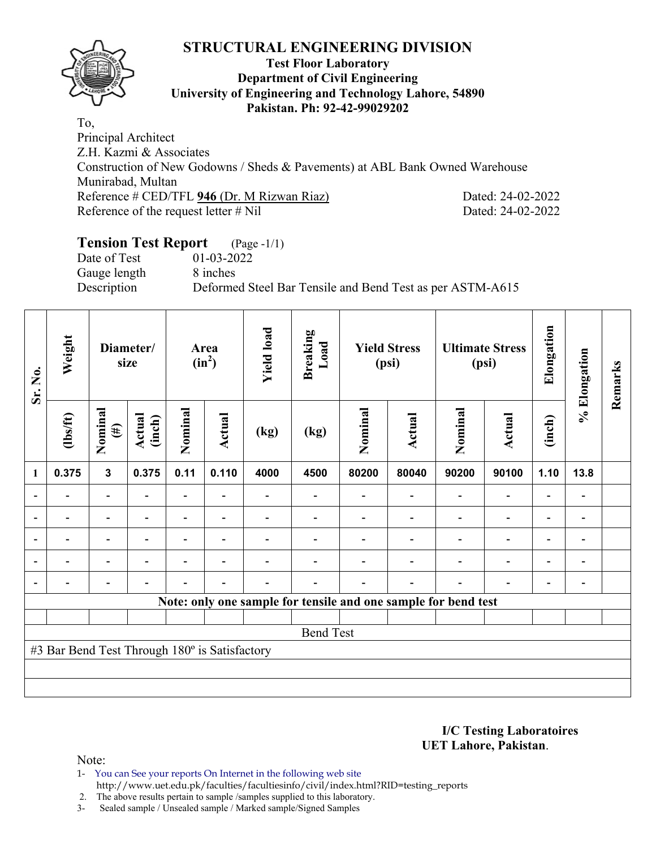

#### **Test Floor Laboratory Department of Civil Engineering University of Engineering and Technology Lahore, 54890 Pakistan. Ph: 92-42-99029202**

To, Principal Architect Z.H. Kazmi & Associates Construction of New Godowns / Sheds & Pavements) at ABL Bank Owned Warehouse Munirabad, Multan Reference # CED/TFL **946** (Dr. M Rizwan Riaz) Dated: 24-02-2022 Reference of the request letter # Nil Dated: 24-02-2022

# **Tension Test Report** (Page -1/1)

Date of Test 01-03-2022 Gauge length 8 inches

Description Deformed Steel Bar Tensile and Bend Test as per ASTM-A615

| Sr. No.                  | Weight                                        | Diameter/<br>size        |                                                                                         |                          | Area<br>$(in^2)$         | <b>Yield load</b> | <b>Breaking</b><br>Load |                                                                | <b>Yield Stress</b><br>(psi) |                          | <b>Ultimate Stress</b><br>(psi) | Elongation               | % Elongation   | Remarks |
|--------------------------|-----------------------------------------------|--------------------------|-----------------------------------------------------------------------------------------|--------------------------|--------------------------|-------------------|-------------------------|----------------------------------------------------------------|------------------------------|--------------------------|---------------------------------|--------------------------|----------------|---------|
|                          | $\frac{2}{10}$                                | Nominal<br>$(\#)$        | Nominal<br>Actual<br>Actual<br>(inch)<br>(kg)<br>(kg)<br>0.11<br>0.110<br>0.375<br>4000 |                          |                          |                   |                         | Nominal                                                        | Actual                       | Nominal                  | <b>Actual</b>                   | (inch)                   |                |         |
| $\mathbf{1}$             | 0.375                                         | $\mathbf{3}$             |                                                                                         |                          |                          |                   | 4500                    | 80200                                                          | 80040                        | 90200                    | 90100                           | 1.10                     | 13.8           |         |
|                          |                                               | $\overline{\phantom{0}}$ |                                                                                         | $\overline{\phantom{0}}$ |                          |                   |                         |                                                                |                              |                          | $\overline{\phantom{0}}$        |                          |                |         |
| $\blacksquare$           |                                               | $\overline{\phantom{0}}$ | ۰                                                                                       | $\blacksquare$           | $\blacksquare$           |                   |                         |                                                                |                              | $\blacksquare$           | $\overline{\phantom{0}}$        | $\overline{\phantom{0}}$ | $\blacksquare$ |         |
| $\overline{a}$           |                                               | $\overline{\phantom{0}}$ |                                                                                         |                          |                          |                   |                         |                                                                |                              |                          |                                 | ٠                        | $\blacksquare$ |         |
| $\overline{\phantom{a}}$ | $\blacksquare$                                | $\overline{\phantom{0}}$ | ۰                                                                                       |                          | $\blacksquare$           |                   |                         |                                                                |                              | $\overline{\phantom{0}}$ | $\overline{a}$                  | $\blacksquare$           | $\blacksquare$ |         |
|                          |                                               | $\overline{\phantom{0}}$ |                                                                                         |                          | $\overline{\phantom{0}}$ |                   |                         |                                                                | $\overline{\phantom{0}}$     | $\overline{\phantom{0}}$ | $\overline{\phantom{0}}$        | $\overline{\phantom{0}}$ |                |         |
|                          |                                               |                          |                                                                                         |                          |                          |                   |                         | Note: only one sample for tensile and one sample for bend test |                              |                          |                                 |                          |                |         |
|                          |                                               |                          |                                                                                         |                          |                          |                   |                         |                                                                |                              |                          |                                 |                          |                |         |
|                          |                                               |                          |                                                                                         |                          |                          |                   | <b>Bend Test</b>        |                                                                |                              |                          |                                 |                          |                |         |
|                          | #3 Bar Bend Test Through 180° is Satisfactory |                          |                                                                                         |                          |                          |                   |                         |                                                                |                              |                          |                                 |                          |                |         |
|                          |                                               |                          |                                                                                         |                          |                          |                   |                         |                                                                |                              |                          |                                 |                          |                |         |
|                          |                                               |                          |                                                                                         |                          |                          |                   |                         |                                                                |                              |                          |                                 |                          |                |         |

**I/C Testing Laboratoires UET Lahore, Pakistan**.

- 1- You can See your reports On Internet in the following web site http://www.uet.edu.pk/faculties/facultiesinfo/civil/index.html?RID=testing\_reports
- 2. The above results pertain to sample /samples supplied to this laboratory.
- 3- Sealed sample / Unsealed sample / Marked sample/Signed Samples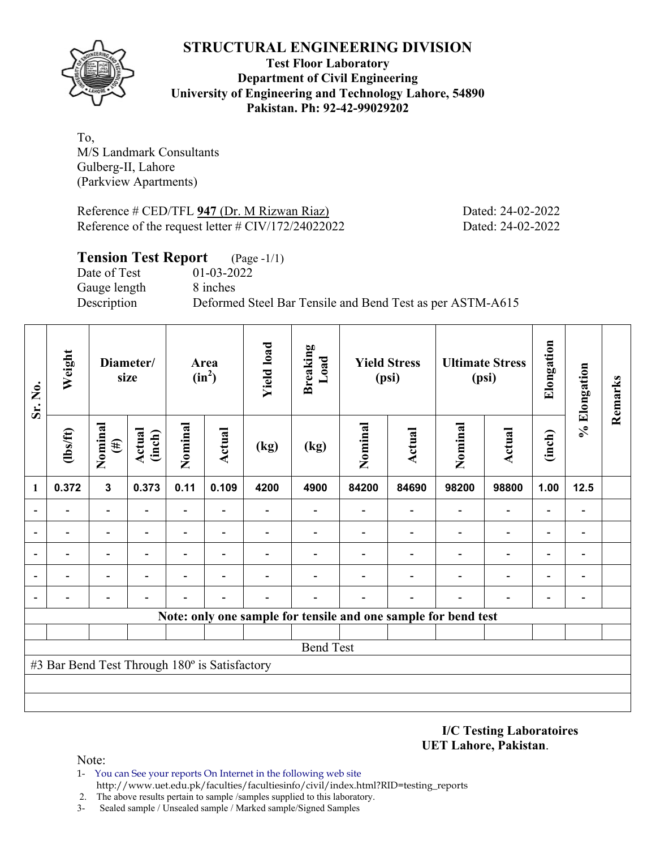

**Test Floor Laboratory Department of Civil Engineering University of Engineering and Technology Lahore, 54890 Pakistan. Ph: 92-42-99029202** 

To, M/S Landmark Consultants Gulberg-II, Lahore (Parkview Apartments)

Reference # CED/TFL **947** (Dr. M Rizwan Riaz) Dated: 24-02-2022 Reference of the request letter # CIV/172/24022022 Dated: 24-02-2022

| <b>Tension Test Report</b> (Page -1/1) |                                                           |
|----------------------------------------|-----------------------------------------------------------|
| Date of Test                           | 01-03-2022                                                |
| Gauge length                           | 8 inches                                                  |
| Description                            | Deformed Steel Bar Tensile and Bend Test as per ASTM-A615 |
|                                        |                                                           |

| Sr. No.      | Weight                                        |                          | Diameter/<br>size       |                          | Area<br>$(in^2)$         | <b>Yield load</b> | <b>Breaking</b><br>Load                                        |         | <b>Yield Stress</b><br>(psi) |                          | <b>Ultimate Stress</b><br>(psi) | Elongation               | % Elongation   | Remarks |
|--------------|-----------------------------------------------|--------------------------|-------------------------|--------------------------|--------------------------|-------------------|----------------------------------------------------------------|---------|------------------------------|--------------------------|---------------------------------|--------------------------|----------------|---------|
|              | (lbs/ft)                                      | Nominal<br>$(\#)$        | <b>Actual</b><br>(inch) | Nominal                  | Actual                   | (kg)              | (kg)                                                           | Nominal | Actual                       | Nominal                  | <b>Actual</b>                   | (inch)                   |                |         |
| $\mathbf{1}$ | 0.372                                         | $\overline{3}$           | 0.373                   | 0.11                     | 0.109                    | 4200              | 4900                                                           | 84200   | 84690                        | 98200                    | 98800                           | 1.00                     | 12.5           |         |
|              |                                               |                          |                         |                          |                          |                   |                                                                |         |                              |                          | $\qquad \qquad \blacksquare$    | $\overline{\phantom{0}}$ |                |         |
|              | $\overline{\phantom{0}}$                      | -                        |                         |                          |                          |                   |                                                                |         |                              | $\overline{\phantom{0}}$ | $\overline{\phantom{a}}$        | $\overline{\phantom{0}}$ |                |         |
|              |                                               |                          |                         |                          |                          |                   |                                                                |         |                              |                          | $\qquad \qquad \blacksquare$    | $\overline{\phantom{0}}$ |                |         |
|              |                                               | $\overline{\phantom{0}}$ |                         | $\overline{\phantom{0}}$ | $\overline{\phantom{0}}$ |                   |                                                                |         |                              |                          | $\overline{\phantom{a}}$        | $\overline{\phantom{0}}$ | $\overline{a}$ |         |
|              |                                               |                          |                         |                          |                          |                   |                                                                |         |                              |                          |                                 | $\overline{\phantom{0}}$ | $\overline{a}$ |         |
|              |                                               |                          |                         |                          |                          |                   | Note: only one sample for tensile and one sample for bend test |         |                              |                          |                                 |                          |                |         |
|              |                                               |                          |                         |                          |                          |                   |                                                                |         |                              |                          |                                 |                          |                |         |
|              |                                               |                          |                         |                          |                          |                   | <b>Bend Test</b>                                               |         |                              |                          |                                 |                          |                |         |
|              | #3 Bar Bend Test Through 180° is Satisfactory |                          |                         |                          |                          |                   |                                                                |         |                              |                          |                                 |                          |                |         |
|              |                                               |                          |                         |                          |                          |                   |                                                                |         |                              |                          |                                 |                          |                |         |
|              |                                               |                          |                         |                          |                          |                   |                                                                |         |                              |                          |                                 |                          |                |         |

**I/C Testing Laboratoires UET Lahore, Pakistan**.

- 1- You can See your reports On Internet in the following web site http://www.uet.edu.pk/faculties/facultiesinfo/civil/index.html?RID=testing\_reports
- 2. The above results pertain to sample /samples supplied to this laboratory.
- 3- Sealed sample / Unsealed sample / Marked sample/Signed Samples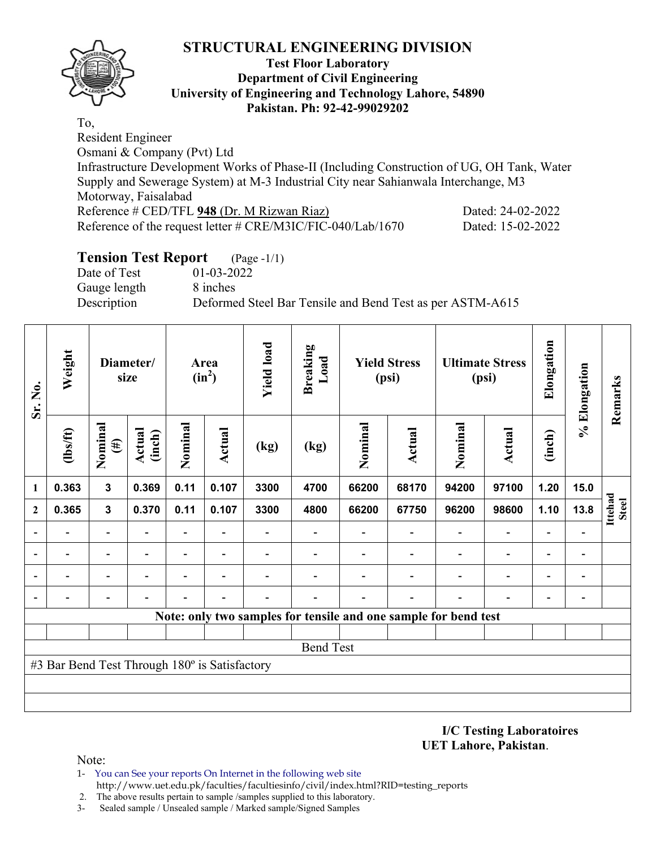

#### **Test Floor Laboratory Department of Civil Engineering University of Engineering and Technology Lahore, 54890 Pakistan. Ph: 92-42-99029202**

To, Resident Engineer Osmani & Company (Pvt) Ltd Infrastructure Development Works of Phase-II (Including Construction of UG, OH Tank, Water Supply and Sewerage System) at M-3 Industrial City near Sahianwala Interchange, M3 Motorway, Faisalabad Reference # CED/TFL 948 (Dr. M Rizwan Riaz) Dated: 24-02-2022 Reference of the request letter # CRE/M3IC/FIC-040/Lab/1670 Dated: 15-02-2022

# **Tension Test Report** (Page -1/1)

Date of Test 01-03-2022 Gauge length 8 inches

Description Deformed Steel Bar Tensile and Bend Test as per ASTM-A615

| Sr. No.        | Weight                                        |                                                                         | Diameter/<br>size        |                              | Area<br>$(in^2)$ | <b>Yield load</b> | <b>Breaking</b><br>Load |         | <b>Yield Stress</b><br>(psi)                                    |         | <b>Ultimate Stress</b><br>(psi) | Elongation               | % Elongation   | Remarks                 |
|----------------|-----------------------------------------------|-------------------------------------------------------------------------|--------------------------|------------------------------|------------------|-------------------|-------------------------|---------|-----------------------------------------------------------------|---------|---------------------------------|--------------------------|----------------|-------------------------|
|                | $lbsft$                                       | Nominal<br><b>Actual</b><br>(inch)<br>$(\#)$<br>$\overline{\mathbf{3}}$ |                          | Nominal                      | Actual           | (kg)              | (kg)                    | Nominal | <b>Actual</b>                                                   | Nominal | <b>Actual</b>                   | (inch)                   |                |                         |
| 1              | 0.363                                         |                                                                         | 0.369                    | 0.11                         | 0.107            | 3300              | 4700                    | 66200   | 68170                                                           | 94200   | 97100                           | 1.20                     | 15.0           |                         |
| $\mathbf{2}$   | 0.365                                         | $\mathbf{3}$                                                            | 0.370                    | 0.11                         | 0.107            | 3300              | 4800                    | 66200   | 67750                                                           | 96200   | 98600                           | 1.10                     | 13.8           | Ittehad<br><b>Steel</b> |
| $\blacksquare$ | $\blacksquare$                                | Ξ.                                                                      |                          | ٠                            |                  |                   |                         |         |                                                                 |         | $\overline{\phantom{a}}$        |                          |                |                         |
|                |                                               | -                                                                       | $\overline{\phantom{0}}$ | $\qquad \qquad \blacksquare$ | ٠                |                   |                         |         |                                                                 |         | $\blacksquare$                  | $\overline{\phantom{0}}$ | -              |                         |
|                |                                               |                                                                         |                          |                              |                  |                   |                         |         |                                                                 |         | $\overline{\phantom{0}}$        |                          | $\overline{a}$ |                         |
|                |                                               |                                                                         |                          |                              |                  |                   |                         |         |                                                                 |         |                                 |                          | $\overline{a}$ |                         |
|                |                                               |                                                                         |                          |                              |                  |                   |                         |         | Note: only two samples for tensile and one sample for bend test |         |                                 |                          |                |                         |
|                |                                               |                                                                         |                          |                              |                  |                   |                         |         |                                                                 |         |                                 |                          |                |                         |
|                |                                               |                                                                         |                          |                              |                  |                   | <b>Bend Test</b>        |         |                                                                 |         |                                 |                          |                |                         |
|                | #3 Bar Bend Test Through 180° is Satisfactory |                                                                         |                          |                              |                  |                   |                         |         |                                                                 |         |                                 |                          |                |                         |
|                |                                               |                                                                         |                          |                              |                  |                   |                         |         |                                                                 |         |                                 |                          |                |                         |
|                |                                               |                                                                         |                          |                              |                  |                   |                         |         |                                                                 |         |                                 |                          |                |                         |

**I/C Testing Laboratoires UET Lahore, Pakistan**.

- 1- You can See your reports On Internet in the following web site http://www.uet.edu.pk/faculties/facultiesinfo/civil/index.html?RID=testing\_reports
- 2. The above results pertain to sample /samples supplied to this laboratory.
- 3- Sealed sample / Unsealed sample / Marked sample/Signed Samples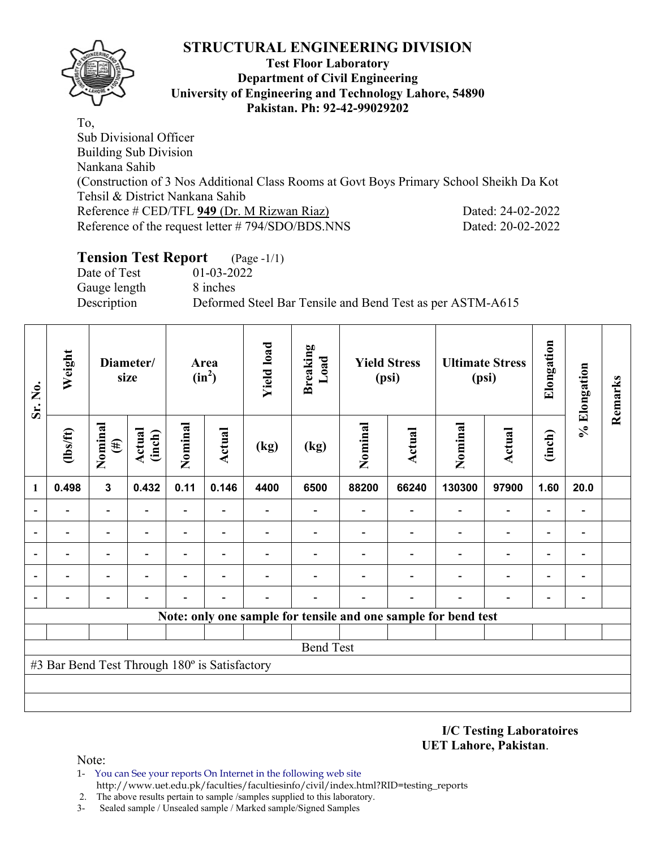

#### **Test Floor Laboratory Department of Civil Engineering University of Engineering and Technology Lahore, 54890 Pakistan. Ph: 92-42-99029202**

To, Sub Divisional Officer Building Sub Division Nankana Sahib (Construction of 3 Nos Additional Class Rooms at Govt Boys Primary School Sheikh Da Kot Tehsil & District Nankana Sahib Reference # CED/TFL 949 (Dr. M Rizwan Riaz) Dated: 24-02-2022 Reference of the request letter # 794/SDO/BDS.NNS Dated: 20-02-2022

# **Tension Test Report** (Page -1/1)

Date of Test 01-03-2022 Gauge length 8 inches

Description Deformed Steel Bar Tensile and Bend Test as per ASTM-A615

| Sr. No.        | Weight                                        |                          | Diameter/<br>size |                          | Area<br>$(in^2)$         | <b>Yield load</b> | <b>Breaking</b><br>Load                                        |         | <b>Yield Stress</b><br>(psi) |         | <b>Ultimate Stress</b><br>(psi) | Elongation               | % Elongation                 | Remarks |
|----------------|-----------------------------------------------|--------------------------|-------------------|--------------------------|--------------------------|-------------------|----------------------------------------------------------------|---------|------------------------------|---------|---------------------------------|--------------------------|------------------------------|---------|
|                | $\frac{2}{10}$                                | Nominal<br>$(\#)$        | Actual<br>(inch)  | Nominal                  | Actual                   | (kg)              | (kg)                                                           | Nominal | <b>Actual</b>                | Nominal | <b>Actual</b>                   | (inch)                   |                              |         |
| 1              | 0.498                                         | $\mathbf{3}$             | 0.432             | 0.11                     | 0.146                    | 4400              | 6500                                                           | 88200   | 66240                        | 130300  | 97900                           | 1.60                     | 20.0                         |         |
|                |                                               |                          |                   |                          |                          |                   |                                                                |         |                              |         | $\overline{\phantom{0}}$        |                          |                              |         |
| $\blacksquare$ |                                               | $\overline{\phantom{0}}$ |                   | $\overline{\phantom{0}}$ |                          |                   |                                                                |         |                              |         | $\overline{\phantom{0}}$        | $\overline{\phantom{0}}$ | $\overline{a}$               |         |
| $\blacksquare$ |                                               | $\overline{\phantom{0}}$ | $\blacksquare$    | $\overline{\phantom{0}}$ | $\overline{\phantom{0}}$ |                   |                                                                |         |                              |         | $\overline{\phantom{a}}$        | $\overline{\phantom{0}}$ | $\qquad \qquad \blacksquare$ |         |
| $\blacksquare$ |                                               |                          |                   |                          |                          |                   |                                                                |         |                              |         |                                 |                          |                              |         |
| ٠              |                                               |                          |                   |                          |                          |                   |                                                                |         |                              |         |                                 |                          | $\overline{a}$               |         |
|                |                                               |                          |                   |                          |                          |                   | Note: only one sample for tensile and one sample for bend test |         |                              |         |                                 |                          |                              |         |
|                |                                               |                          |                   |                          |                          |                   |                                                                |         |                              |         |                                 |                          |                              |         |
|                |                                               |                          |                   |                          |                          |                   | <b>Bend Test</b>                                               |         |                              |         |                                 |                          |                              |         |
|                | #3 Bar Bend Test Through 180° is Satisfactory |                          |                   |                          |                          |                   |                                                                |         |                              |         |                                 |                          |                              |         |
|                |                                               |                          |                   |                          |                          |                   |                                                                |         |                              |         |                                 |                          |                              |         |
|                |                                               |                          |                   |                          |                          |                   |                                                                |         |                              |         |                                 |                          |                              |         |

**I/C Testing Laboratoires UET Lahore, Pakistan**.

- 1- You can See your reports On Internet in the following web site http://www.uet.edu.pk/faculties/facultiesinfo/civil/index.html?RID=testing\_reports
- 2. The above results pertain to sample /samples supplied to this laboratory.
- 3- Sealed sample / Unsealed sample / Marked sample/Signed Samples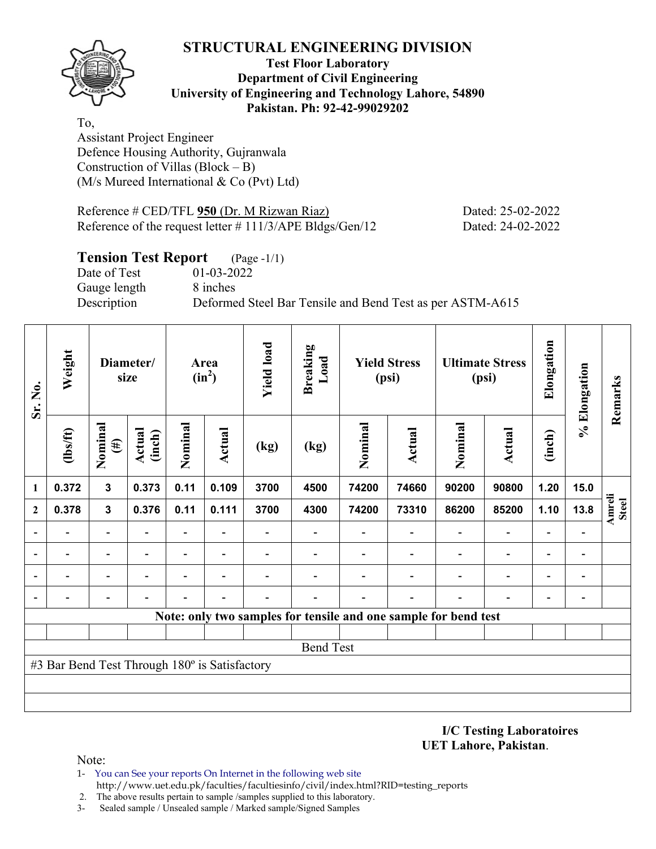

#### **Test Floor Laboratory Department of Civil Engineering University of Engineering and Technology Lahore, 54890 Pakistan. Ph: 92-42-99029202**

To, Assistant Project Engineer Defence Housing Authority, Gujranwala Construction of Villas (Block – B) (M/s Mureed International & Co (Pvt) Ltd)

| Reference $\#$ CED/TFL 950 (Dr. M Rizwan Riaz)              | Dated: 25-02-2022 |
|-------------------------------------------------------------|-------------------|
| Reference of the request letter $\# 111/3/APE$ Bldgs/Gen/12 | Dated: 24-02-2022 |

#### **Tension Test Report** (Page -1/1)

Date of Test 01-03-2022 Gauge length 8 inches

Description Deformed Steel Bar Tensile and Bend Test as per ASTM-A615

| Sr. No.      | Weight                                        |                                                            | Diameter/<br>size |                          | Area<br>$(in^2)$         | <b>Yield load</b> | <b>Breaking</b><br>Load                                         |         | <b>Yield Stress</b><br>(psi) |                          | <b>Ultimate Stress</b><br>(psi) | Elongation               | % Elongation             | Remarks                |
|--------------|-----------------------------------------------|------------------------------------------------------------|-------------------|--------------------------|--------------------------|-------------------|-----------------------------------------------------------------|---------|------------------------------|--------------------------|---------------------------------|--------------------------|--------------------------|------------------------|
|              | $\frac{2}{10}$                                | Nominal<br>Nominal<br>Actual<br>Actual<br>(inch)<br>$(\#)$ |                   | (kg)                     | (kg)                     | Nominal           | <b>Actual</b>                                                   | Nominal | <b>Actual</b>                | (inch)                   |                                 |                          |                          |                        |
| 1            | 0.372                                         | $\mathbf 3$                                                | 0.373             | 0.11                     | 0.109                    | 3700              | 4500                                                            | 74200   | 74660                        | 90200                    | 90800                           | 1.20                     | 15.0                     |                        |
| $\mathbf{2}$ | 0.378                                         | $\mathbf{3}$                                               | 0.376             | 0.11                     | 0.111                    | 3700              | 4300                                                            | 74200   | 73310                        | 86200                    | 85200                           | 1.10                     | 13.8                     | Amreli<br><b>Steel</b> |
|              |                                               | $\overline{\phantom{0}}$                                   |                   | $\overline{\phantom{0}}$ | $\overline{\phantom{a}}$ |                   | $\overline{\phantom{0}}$                                        |         |                              | $\overline{\phantom{0}}$ | $\blacksquare$                  | $\overline{\phantom{0}}$ | $\overline{\phantom{0}}$ |                        |
|              |                                               | -                                                          |                   | -                        | $\overline{\phantom{a}}$ |                   |                                                                 |         |                              |                          | $\qquad \qquad \blacksquare$    | $\overline{\phantom{0}}$ | $\qquad \qquad$          |                        |
|              |                                               | $\overline{\phantom{0}}$                                   |                   | -                        |                          |                   |                                                                 |         |                              |                          |                                 | $\overline{\phantom{0}}$ | $\overline{\phantom{a}}$ |                        |
|              |                                               |                                                            |                   |                          |                          |                   |                                                                 |         |                              |                          |                                 |                          | $\overline{a}$           |                        |
|              |                                               |                                                            |                   |                          |                          |                   | Note: only two samples for tensile and one sample for bend test |         |                              |                          |                                 |                          |                          |                        |
|              |                                               |                                                            |                   |                          |                          |                   |                                                                 |         |                              |                          |                                 |                          |                          |                        |
|              |                                               |                                                            |                   |                          |                          |                   | <b>Bend Test</b>                                                |         |                              |                          |                                 |                          |                          |                        |
|              | #3 Bar Bend Test Through 180° is Satisfactory |                                                            |                   |                          |                          |                   |                                                                 |         |                              |                          |                                 |                          |                          |                        |
|              |                                               |                                                            |                   |                          |                          |                   |                                                                 |         |                              |                          |                                 |                          |                          |                        |
|              |                                               |                                                            |                   |                          |                          |                   |                                                                 |         |                              |                          |                                 |                          |                          |                        |

**I/C Testing Laboratoires UET Lahore, Pakistan**.

- 1- You can See your reports On Internet in the following web site http://www.uet.edu.pk/faculties/facultiesinfo/civil/index.html?RID=testing\_reports
- 2. The above results pertain to sample /samples supplied to this laboratory.
- 3- Sealed sample / Unsealed sample / Marked sample/Signed Samples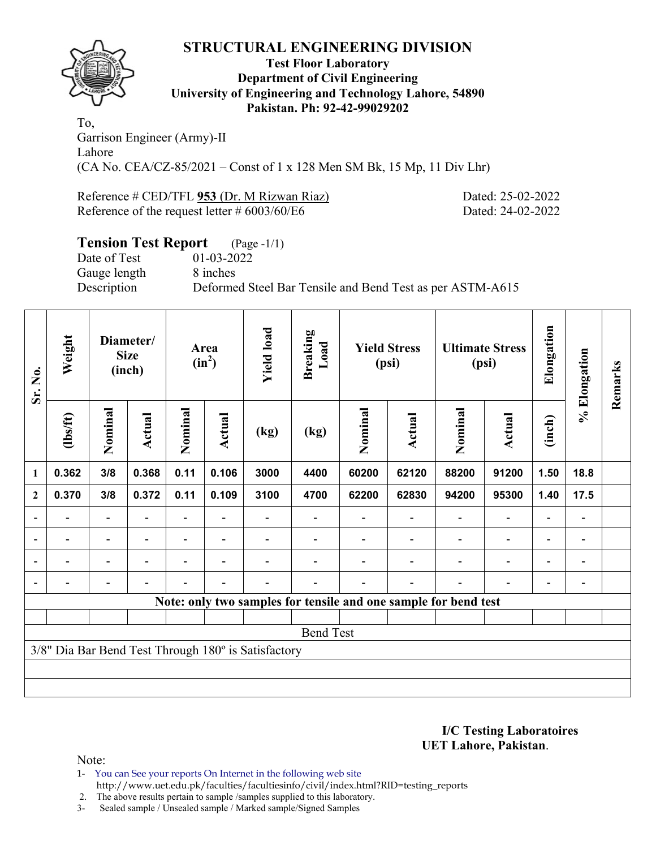

#### **Test Floor Laboratory Department of Civil Engineering University of Engineering and Technology Lahore, 54890 Pakistan. Ph: 92-42-99029202**

To, Garrison Engineer (Army)-II Lahore (CA No. CEA/CZ-85/2021 – Const of 1 x 128 Men SM Bk, 15 Mp, 11 Div Lhr)

Reference # CED/TFL 953 (Dr. M Rizwan Riaz) Dated: 25-02-2022 Reference of the request letter # 6003/60/E6 Dated: 24-02-2022

# **Tension Test Report** (Page -1/1) Date of Test 01-03-2022 Gauge length 8 inches Description Deformed Steel Bar Tensile and Bend Test as per ASTM-A615

| Sr. No.                  | Weight                                              |                          | Diameter/<br><b>Size</b><br>(inch) |                                             | Area<br>$(in^2)$ | <b>Yield load</b> | <b>Breaking</b><br>Load |         | <b>Yield Stress</b><br>(psi)                                    |         | <b>Ultimate Stress</b><br>(psi) | Elongation               | % Elongation             | Remarks |
|--------------------------|-----------------------------------------------------|--------------------------|------------------------------------|---------------------------------------------|------------------|-------------------|-------------------------|---------|-----------------------------------------------------------------|---------|---------------------------------|--------------------------|--------------------------|---------|
|                          | $\frac{2}{10}$                                      | Nominal                  | Actual                             | Nominal<br>Actual<br>0.11<br>0.368<br>0.106 |                  | (kg)              | (kg)                    | Nominal | Actual                                                          | Nominal | <b>Actual</b>                   | (inch)                   |                          |         |
| 1                        | 0.362                                               | 3/8                      |                                    |                                             |                  | 3000              | 4400                    | 60200   | 62120                                                           | 88200   | 91200                           | 1.50                     | 18.8                     |         |
| $\mathbf{2}$             | 0.370                                               | 3/8                      | 0.372                              | 0.11                                        | 0.109            | 3100              | 4700                    | 62200   | 62830                                                           | 94200   | 95300                           | 1.40                     | 17.5                     |         |
|                          |                                                     |                          |                                    |                                             |                  |                   |                         |         |                                                                 |         |                                 |                          |                          |         |
| $\overline{\phantom{a}}$ | $\overline{\phantom{0}}$                            | $\overline{\phantom{0}}$ | $\overline{\phantom{0}}$           |                                             |                  |                   |                         |         |                                                                 |         | -                               | $\overline{\phantom{0}}$ | $\overline{\phantom{a}}$ |         |
|                          | $\overline{\phantom{0}}$                            | $\overline{\phantom{0}}$ |                                    |                                             |                  |                   |                         |         |                                                                 |         | $\overline{\phantom{0}}$        | $\overline{\phantom{0}}$ | $\overline{\phantom{a}}$ |         |
|                          |                                                     |                          |                                    |                                             |                  |                   |                         |         |                                                                 |         | $\overline{\phantom{0}}$        | $\overline{\phantom{0}}$ | $\overline{\phantom{a}}$ |         |
|                          |                                                     |                          |                                    |                                             |                  |                   |                         |         | Note: only two samples for tensile and one sample for bend test |         |                                 |                          |                          |         |
|                          |                                                     |                          |                                    |                                             |                  |                   |                         |         |                                                                 |         |                                 |                          |                          |         |
|                          |                                                     |                          |                                    |                                             |                  |                   | <b>Bend Test</b>        |         |                                                                 |         |                                 |                          |                          |         |
|                          | 3/8" Dia Bar Bend Test Through 180° is Satisfactory |                          |                                    |                                             |                  |                   |                         |         |                                                                 |         |                                 |                          |                          |         |
|                          |                                                     |                          |                                    |                                             |                  |                   |                         |         |                                                                 |         |                                 |                          |                          |         |
|                          |                                                     |                          |                                    |                                             |                  |                   |                         |         |                                                                 |         |                                 |                          |                          |         |

**I/C Testing Laboratoires UET Lahore, Pakistan**.

Note:

1- You can See your reports On Internet in the following web site http://www.uet.edu.pk/faculties/facultiesinfo/civil/index.html?RID=testing\_reports

2. The above results pertain to sample /samples supplied to this laboratory.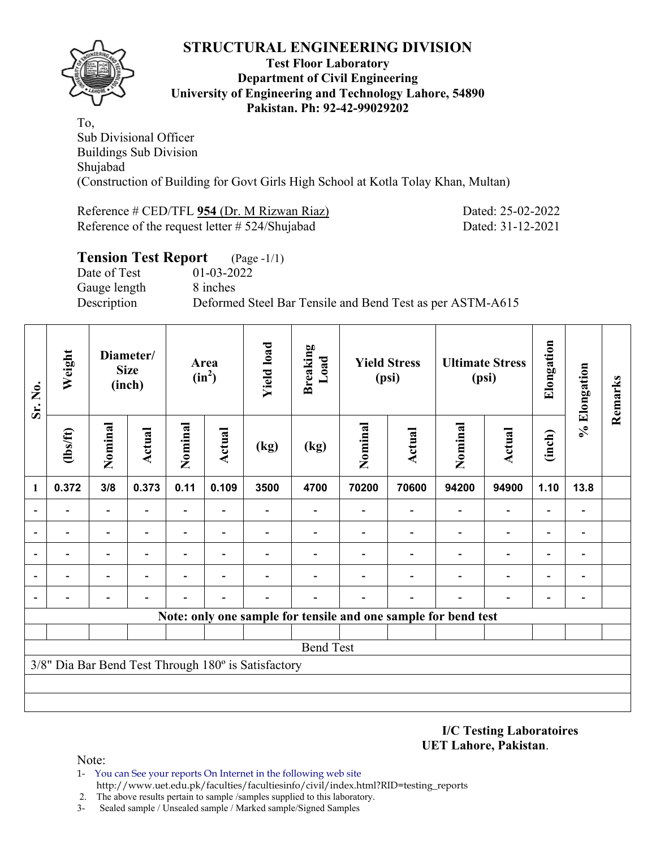

#### **Test Floor Laboratory Department of Civil Engineering University of Engineering and Technology Lahore, 54890 Pakistan. Ph: 92-42-99029202**

To, Sub Divisional Officer Buildings Sub Division Shujabad (Construction of Building for Govt Girls High School at Kotla Tolay Khan, Multan)

Reference # CED/TFL 954 (Dr. M Rizwan Riaz) Dated: 25-02-2022 Reference of the request letter # 524/Shujabad Dated: 31-12-2021

| <b>Tension Test Report</b> (Page -1/1) |                                                           |
|----------------------------------------|-----------------------------------------------------------|
| Date of Test                           | 01-03-2022                                                |
| Gauge length                           | 8 inches                                                  |
| Description                            | Deformed Steel Bar Tensile and Bend Test as per ASTM-A615 |
|                                        |                                                           |

| Sr. No. | Weight                   |         | Diameter/<br><b>Size</b><br>(inch) |                          | Area<br>$(in^2)$         | <b>Yield load</b>                                   | <b>Breaking</b><br>Load |         | <b>Yield Stress</b><br>(psi)                                   |                          | <b>Ultimate Stress</b><br>(psi) | Elongation               | % Elongation   | Remarks |
|---------|--------------------------|---------|------------------------------------|--------------------------|--------------------------|-----------------------------------------------------|-------------------------|---------|----------------------------------------------------------------|--------------------------|---------------------------------|--------------------------|----------------|---------|
|         | $lbsft$                  | Nominal | <b>Actual</b>                      | Nominal                  | <b>Actual</b>            | (kg)                                                | (kg)                    | Nominal | <b>Actual</b>                                                  | Nominal                  | <b>Actual</b>                   | (inch)                   |                |         |
| 1       | 0.372                    | 3/8     | 0.373                              | 0.11                     | 0.109                    | 3500                                                | 4700                    | 70200   | 70600                                                          | 94200                    | 94900                           | 1.10                     | 13.8           |         |
|         |                          | -       |                                    |                          |                          |                                                     |                         |         |                                                                | $\overline{\phantom{0}}$ | $\overline{\phantom{0}}$        | $\overline{\phantom{0}}$ |                |         |
|         |                          | -       |                                    | $\blacksquare$           |                          |                                                     |                         |         |                                                                |                          | $\qquad \qquad \blacksquare$    | $\overline{\phantom{0}}$ |                |         |
|         | $\overline{\phantom{0}}$ | -       |                                    | $\overline{\phantom{0}}$ | $\overline{\phantom{0}}$ |                                                     |                         |         |                                                                | $\overline{\phantom{0}}$ | $\overline{\phantom{0}}$        | -                        | -              |         |
|         |                          |         |                                    |                          |                          |                                                     |                         |         |                                                                |                          | -                               | -                        |                |         |
|         |                          |         |                                    |                          |                          |                                                     |                         |         |                                                                |                          |                                 | $\overline{\phantom{0}}$ | $\overline{a}$ |         |
|         |                          |         |                                    |                          |                          |                                                     |                         |         | Note: only one sample for tensile and one sample for bend test |                          |                                 |                          |                |         |
|         |                          |         |                                    |                          |                          |                                                     |                         |         |                                                                |                          |                                 |                          |                |         |
|         |                          |         |                                    |                          |                          |                                                     | <b>Bend Test</b>        |         |                                                                |                          |                                 |                          |                |         |
|         |                          |         |                                    |                          |                          | 3/8" Dia Bar Bend Test Through 180° is Satisfactory |                         |         |                                                                |                          |                                 |                          |                |         |
|         |                          |         |                                    |                          |                          |                                                     |                         |         |                                                                |                          |                                 |                          |                |         |
|         |                          |         |                                    |                          |                          |                                                     |                         |         |                                                                |                          |                                 |                          |                |         |

**I/C Testing Laboratoires UET Lahore, Pakistan**.

- 1- You can See your reports On Internet in the following web site http://www.uet.edu.pk/faculties/facultiesinfo/civil/index.html?RID=testing\_reports
- 2. The above results pertain to sample /samples supplied to this laboratory.
- 3- Sealed sample / Unsealed sample / Marked sample/Signed Samples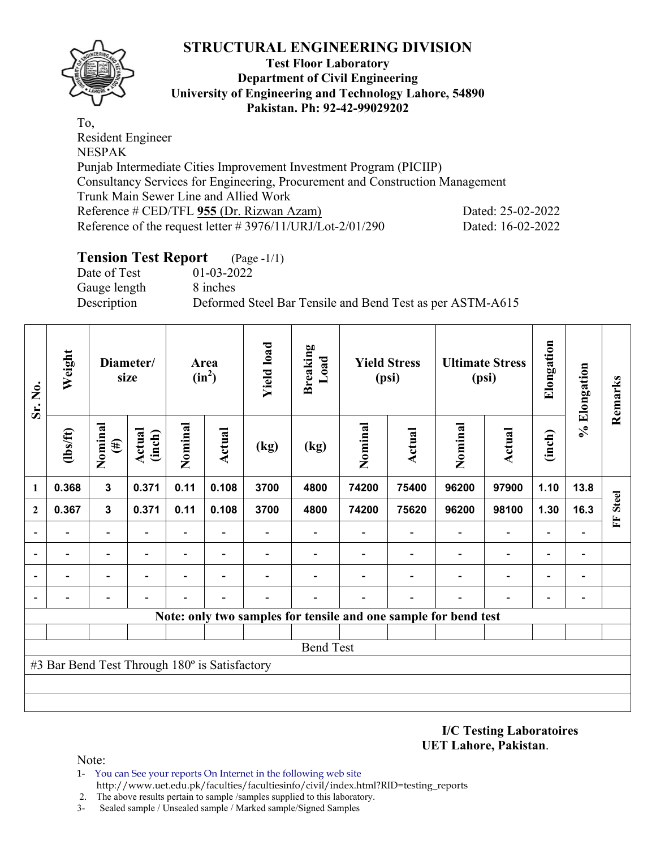

#### **Test Floor Laboratory Department of Civil Engineering University of Engineering and Technology Lahore, 54890 Pakistan. Ph: 92-42-99029202**

To, Resident Engineer NESPAK Punjab Intermediate Cities Improvement Investment Program (PICIIP) Consultancy Services for Engineering, Procurement and Construction Management Trunk Main Sewer Line and Allied Work Reference # CED/TFL 955 (Dr. Rizwan Azam) Dated: 25-02-2022 Reference of the request letter # 3976/11/URJ/Lot-2/01/290 Dated: 16-02-2022

# **Tension Test Report** (Page -1/1)

Date of Test 01-03-2022 Gauge length 8 inches

Description Deformed Steel Bar Tensile and Bend Test as per ASTM-A615

| Sr. No.      | Weight                                        |                          | Diameter/<br>size |                          | Area<br>$(in^2)$         | <b>Yield load</b> | <b>Breaking</b><br>Load |         | <b>Yield Stress</b><br>(psi) |                                                                 | <b>Ultimate Stress</b><br>(psi) | Elongation               | % Elongation                 | Remarks           |
|--------------|-----------------------------------------------|--------------------------|-------------------|--------------------------|--------------------------|-------------------|-------------------------|---------|------------------------------|-----------------------------------------------------------------|---------------------------------|--------------------------|------------------------------|-------------------|
|              | (1bs/ft)                                      | Nominal<br>$(\#)$        | Actual<br>(inch)  | Nominal                  | Actual                   | (kg)              | (kg)                    | Nominal | Actual                       | Nominal                                                         | <b>Actual</b>                   | (inch)                   |                              |                   |
| 1            | 0.368                                         | $\mathbf{3}$             | 0.371             | 0.11                     | 0.108                    | 3700              | 4800                    | 74200   | 75400                        | 96200                                                           | 97900                           | 1.10                     | 13.8                         |                   |
| $\mathbf{2}$ | 0.367                                         | $\mathbf{3}$             | 0.371             | 0.11                     | 0.108                    | 3700              | 4800                    | 74200   | 75620                        | 96200                                                           | 98100                           | 1.30                     | 16.3                         | <b>Steel</b><br>E |
|              |                                               | $\overline{\phantom{0}}$ |                   | $\overline{\phantom{0}}$ | $\overline{\phantom{a}}$ |                   |                         |         |                              |                                                                 | $\blacksquare$                  | $\overline{\phantom{0}}$ |                              |                   |
|              |                                               | -                        |                   | -                        | $\overline{\phantom{a}}$ |                   |                         |         |                              |                                                                 | $\qquad \qquad \blacksquare$    | $\overline{\phantom{0}}$ | $\qquad \qquad$              |                   |
|              |                                               | $\overline{\phantom{0}}$ |                   |                          |                          |                   |                         |         |                              |                                                                 |                                 | $\overline{\phantom{0}}$ | $\overline{\phantom{0}}$     |                   |
|              |                                               |                          |                   |                          |                          |                   |                         |         |                              |                                                                 |                                 |                          | $\qquad \qquad \blacksquare$ |                   |
|              |                                               |                          |                   |                          |                          |                   |                         |         |                              | Note: only two samples for tensile and one sample for bend test |                                 |                          |                              |                   |
|              |                                               |                          |                   |                          |                          |                   |                         |         |                              |                                                                 |                                 |                          |                              |                   |
|              |                                               |                          |                   |                          |                          |                   | <b>Bend Test</b>        |         |                              |                                                                 |                                 |                          |                              |                   |
|              | #3 Bar Bend Test Through 180° is Satisfactory |                          |                   |                          |                          |                   |                         |         |                              |                                                                 |                                 |                          |                              |                   |
|              |                                               |                          |                   |                          |                          |                   |                         |         |                              |                                                                 |                                 |                          |                              |                   |
|              |                                               |                          |                   |                          |                          |                   |                         |         |                              |                                                                 |                                 |                          |                              |                   |

**I/C Testing Laboratoires UET Lahore, Pakistan**.

- 1- You can See your reports On Internet in the following web site http://www.uet.edu.pk/faculties/facultiesinfo/civil/index.html?RID=testing\_reports
- 2. The above results pertain to sample /samples supplied to this laboratory.
- 3- Sealed sample / Unsealed sample / Marked sample/Signed Samples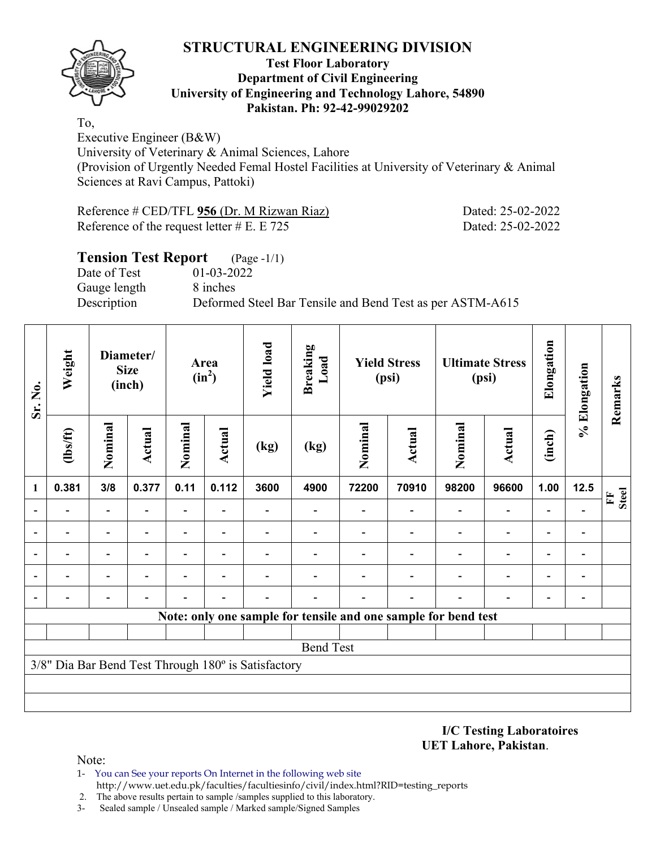

#### **Test Floor Laboratory Department of Civil Engineering University of Engineering and Technology Lahore, 54890 Pakistan. Ph: 92-42-99029202**

To, Executive Engineer (B&W) University of Veterinary & Animal Sciences, Lahore (Provision of Urgently Needed Femal Hostel Facilities at University of Veterinary & Animal Sciences at Ravi Campus, Pattoki)

| Reference # CED/TFL $956$ (Dr. M Rizwan Riaz) | Dated: 25-02-2022 |
|-----------------------------------------------|-------------------|
| Reference of the request letter $#E$ . E 725  | Dated: 25-02-2022 |

# **Tension Test Report** (Page -1/1)

Date of Test 01-03-2022 Gauge length 8 inches

Description Deformed Steel Bar Tensile and Bend Test as per ASTM-A615

| Sr. No.                  | Weight         | Diameter/<br><b>Size</b><br>(inch) |               |                          | Area<br>$(in^2)$         | <b>Yield load</b>                                   | <b>Breaking</b><br>Load |         | <b>Yield Stress</b><br>(psi)                                   |                          | <b>Ultimate Stress</b><br>(psi) | Elongation               | % Elongation | Remarks           |
|--------------------------|----------------|------------------------------------|---------------|--------------------------|--------------------------|-----------------------------------------------------|-------------------------|---------|----------------------------------------------------------------|--------------------------|---------------------------------|--------------------------|--------------|-------------------|
|                          | $\frac{2}{10}$ | Nominal                            | <b>Actual</b> | Nominal                  | <b>Actual</b>            | (kg)                                                | (kg)                    | Nominal | Actual                                                         | Nominal                  | <b>Actual</b>                   | (inch)                   |              |                   |
| $\mathbf{1}$             | 0.381          | 3/8                                | 0.377         | 0.11                     | 0.112                    | 3600                                                | 4900                    | 72200   | 70910                                                          | 98200                    | 96600                           | 1.00                     | 12.5         | <b>Steel</b><br>E |
| $\overline{\phantom{a}}$ |                | $\qquad \qquad \blacksquare$       | ۰             | $\overline{\phantom{0}}$ |                          |                                                     |                         |         |                                                                | $\overline{\phantom{0}}$ | $\overline{\phantom{0}}$        | $\overline{\phantom{0}}$ |              |                   |
| $\overline{\phantom{0}}$ |                | $\blacksquare$                     |               |                          | $\overline{\phantom{0}}$ |                                                     |                         |         |                                                                |                          | $\overline{\phantom{0}}$        | $\overline{\phantom{0}}$ |              |                   |
| $\overline{\phantom{a}}$ |                |                                    |               |                          |                          |                                                     |                         |         |                                                                |                          |                                 | $\overline{\phantom{0}}$ |              |                   |
| $\overline{\phantom{a}}$ |                | $\overline{\phantom{0}}$           |               |                          |                          |                                                     |                         |         |                                                                |                          | $\overline{\phantom{0}}$        | $\overline{\phantom{0}}$ | -            |                   |
| $\overline{\phantom{a}}$ |                |                                    |               |                          |                          |                                                     |                         |         |                                                                | $\overline{\phantom{a}}$ |                                 |                          |              |                   |
|                          |                |                                    |               |                          |                          |                                                     |                         |         | Note: only one sample for tensile and one sample for bend test |                          |                                 |                          |              |                   |
|                          |                |                                    |               |                          |                          |                                                     |                         |         |                                                                |                          |                                 |                          |              |                   |
|                          |                |                                    |               |                          |                          |                                                     | <b>Bend Test</b>        |         |                                                                |                          |                                 |                          |              |                   |
|                          |                |                                    |               |                          |                          | 3/8" Dia Bar Bend Test Through 180° is Satisfactory |                         |         |                                                                |                          |                                 |                          |              |                   |
|                          |                |                                    |               |                          |                          |                                                     |                         |         |                                                                |                          |                                 |                          |              |                   |
|                          |                |                                    |               |                          |                          |                                                     |                         |         |                                                                |                          |                                 |                          |              |                   |

**I/C Testing Laboratoires UET Lahore, Pakistan**.

Note:

1- You can See your reports On Internet in the following web site http://www.uet.edu.pk/faculties/facultiesinfo/civil/index.html?RID=testing\_reports

2. The above results pertain to sample /samples supplied to this laboratory.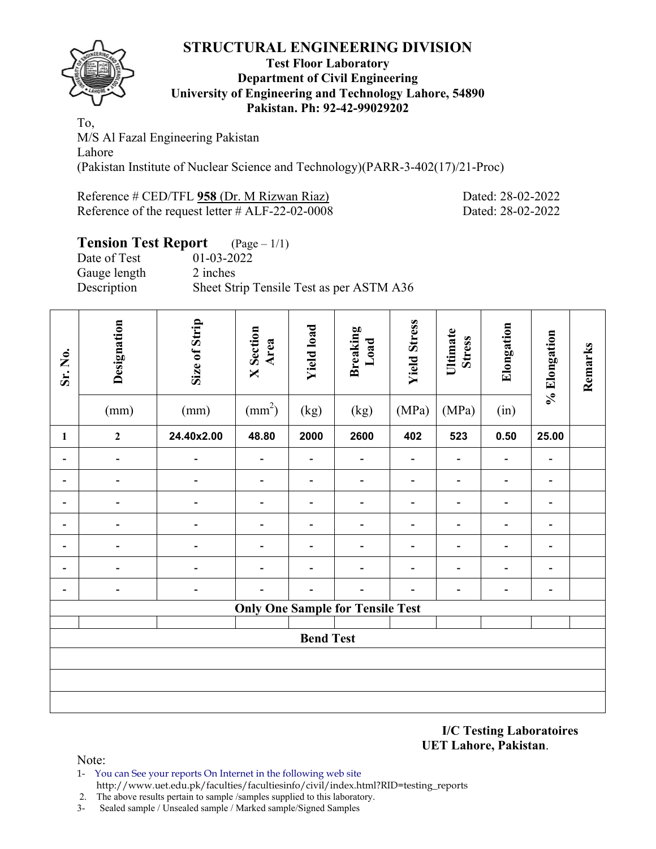

#### **Test Floor Laboratory Department of Civil Engineering University of Engineering and Technology Lahore, 54890 Pakistan. Ph: 92-42-99029202**

To, M/S Al Fazal Engineering Pakistan Lahore (Pakistan Institute of Nuclear Science and Technology)(PARR-3-402(17)/21-Proc)

Reference # CED/TFL **958** (Dr. M Rizwan Riaz) Dated: 28-02-2022 Reference of the request letter # ALF-22-02-0008 Dated: 28-02-2022

# **Tension Test Report** (Page – 1/1)

Date of Test 01-03-2022 Gauge length 2 inches Description Sheet Strip Tensile Test as per ASTM A36

| Sr. No.                      | Designation<br>(mm)          | Size of Strip<br>(mm) | <b>X</b> Section<br>Area<br>$\text{(mm}^2)$ | <b>Yield load</b><br>(kg)    | <b>Breaking</b><br>Load<br>(kg)         | <b>Yield Stress</b><br>(MPa) | Ultimate<br><b>Stress</b><br>(MPa) | Elongation<br>(in)           | % Elongation                 | Remarks |
|------------------------------|------------------------------|-----------------------|---------------------------------------------|------------------------------|-----------------------------------------|------------------------------|------------------------------------|------------------------------|------------------------------|---------|
| $\mathbf{1}$                 | $\boldsymbol{2}$             | 24.40x2.00            | 48.80                                       | 2000                         | 2600                                    | 402                          | 523                                | 0.50                         | 25.00                        |         |
| $\qquad \qquad \blacksquare$ | $\qquad \qquad \blacksquare$ |                       | $\overline{\phantom{0}}$                    | $\overline{a}$               | $\qquad \qquad \blacksquare$            |                              | -                                  | $\overline{\phantom{a}}$     | -                            |         |
| -                            | $\qquad \qquad \blacksquare$ |                       | $\overline{\phantom{0}}$                    | $\qquad \qquad \blacksquare$ | $\overline{\phantom{0}}$                |                              | $\overline{\phantom{0}}$           | $\overline{\phantom{a}}$     | $\qquad \qquad \blacksquare$ |         |
|                              |                              |                       |                                             | $\overline{\phantom{0}}$     | -                                       |                              |                                    | -                            | $\qquad \qquad \blacksquare$ |         |
|                              |                              |                       |                                             | $\overline{\phantom{a}}$     |                                         |                              |                                    | $\qquad \qquad \blacksquare$ | $\overline{\phantom{a}}$     |         |
|                              |                              |                       |                                             | $\qquad \qquad \blacksquare$ |                                         |                              |                                    | $\qquad \qquad \blacksquare$ | $\qquad \qquad \blacksquare$ |         |
|                              |                              |                       |                                             |                              |                                         |                              |                                    | $\overline{\phantom{0}}$     | -                            |         |
|                              |                              |                       |                                             |                              |                                         |                              |                                    |                              | $\overline{\phantom{a}}$     |         |
|                              |                              |                       |                                             |                              | <b>Only One Sample for Tensile Test</b> |                              |                                    |                              |                              |         |
|                              |                              |                       |                                             | <b>Bend Test</b>             |                                         |                              |                                    |                              |                              |         |
|                              |                              |                       |                                             |                              |                                         |                              |                                    |                              |                              |         |
|                              |                              |                       |                                             |                              |                                         |                              |                                    |                              |                              |         |
|                              |                              |                       |                                             |                              |                                         |                              |                                    |                              |                              |         |

**I/C Testing Laboratoires UET Lahore, Pakistan**.

- 1- You can See your reports On Internet in the following web site http://www.uet.edu.pk/faculties/facultiesinfo/civil/index.html?RID=testing\_reports
- 2. The above results pertain to sample /samples supplied to this laboratory.
- 3- Sealed sample / Unsealed sample / Marked sample/Signed Samples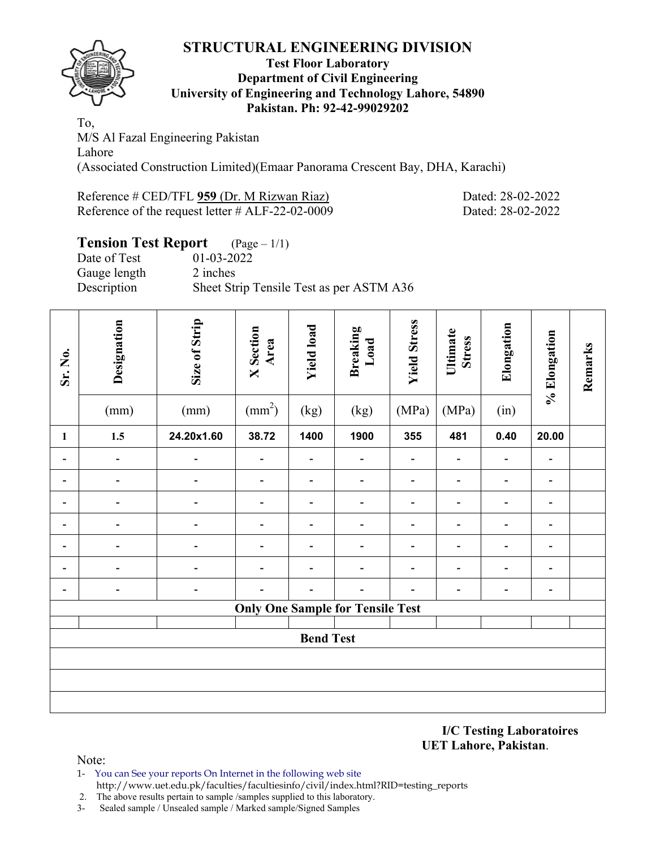

#### **Test Floor Laboratory Department of Civil Engineering University of Engineering and Technology Lahore, 54890 Pakistan. Ph: 92-42-99029202**

To, M/S Al Fazal Engineering Pakistan Lahore (Associated Construction Limited)(Emaar Panorama Crescent Bay, DHA, Karachi)

Reference # CED/TFL 959 (Dr. M Rizwan Riaz) Dated: 28-02-2022 Reference of the request letter # ALF-22-02-0009 Dated: 28-02-2022

# **Tension Test Report** (Page – 1/1)

Date of Test 01-03-2022 Gauge length 2 inches Description Sheet Strip Tensile Test as per ASTM A36

| Sr. No.                      | Designation<br>(mm)          | Size of Strip<br>(mm) | <b>X</b> Section<br>Area<br>$\text{(mm}^2)$ | <b>Yield load</b><br>(kg)    | <b>Breaking</b><br>Load<br>(kg)         | <b>Yield Stress</b><br>(MPa) | Ultimate<br><b>Stress</b><br>(MPa) | Elongation<br>(in)           | % Elongation                 | Remarks |
|------------------------------|------------------------------|-----------------------|---------------------------------------------|------------------------------|-----------------------------------------|------------------------------|------------------------------------|------------------------------|------------------------------|---------|
| $\mathbf{1}$                 | $1.5$                        | 24.20x1.60            | 38.72                                       | 1400                         | 1900                                    | 355                          | 481                                | 0.40                         | 20.00                        |         |
| $\qquad \qquad \blacksquare$ | $\overline{\phantom{a}}$     |                       | $\overline{a}$                              | $\overline{a}$               | -                                       |                              |                                    | $\qquad \qquad \blacksquare$ | $\overline{\phantom{0}}$     |         |
| $\qquad \qquad \blacksquare$ | $\qquad \qquad \blacksquare$ | $\blacksquare$        | $\overline{\phantom{a}}$                    | $\overline{\phantom{0}}$     | -                                       |                              |                                    | -                            | $\qquad \qquad \blacksquare$ |         |
| Ξ.                           | $\blacksquare$               |                       | $\overline{\phantom{0}}$                    | $\qquad \qquad \blacksquare$ | -                                       |                              |                                    | $\overline{\phantom{0}}$     | $\overline{\phantom{0}}$     |         |
|                              | $\overline{a}$               |                       |                                             | $\overline{\phantom{a}}$     |                                         |                              |                                    | $\qquad \qquad \blacksquare$ | $\overline{\phantom{0}}$     |         |
|                              |                              |                       |                                             | $\overline{\phantom{a}}$     |                                         |                              |                                    | $\overline{a}$               | $\overline{\phantom{0}}$     |         |
|                              |                              |                       |                                             |                              |                                         |                              |                                    |                              | -                            |         |
|                              |                              |                       |                                             |                              |                                         |                              |                                    |                              | -                            |         |
|                              |                              |                       |                                             |                              | <b>Only One Sample for Tensile Test</b> |                              |                                    |                              |                              |         |
|                              |                              |                       |                                             | <b>Bend Test</b>             |                                         |                              |                                    |                              |                              |         |
|                              |                              |                       |                                             |                              |                                         |                              |                                    |                              |                              |         |
|                              |                              |                       |                                             |                              |                                         |                              |                                    |                              |                              |         |
|                              |                              |                       |                                             |                              |                                         |                              |                                    |                              |                              |         |

**I/C Testing Laboratoires UET Lahore, Pakistan**.

Note:

1- You can See your reports On Internet in the following web site http://www.uet.edu.pk/faculties/facultiesinfo/civil/index.html?RID=testing\_reports

2. The above results pertain to sample /samples supplied to this laboratory.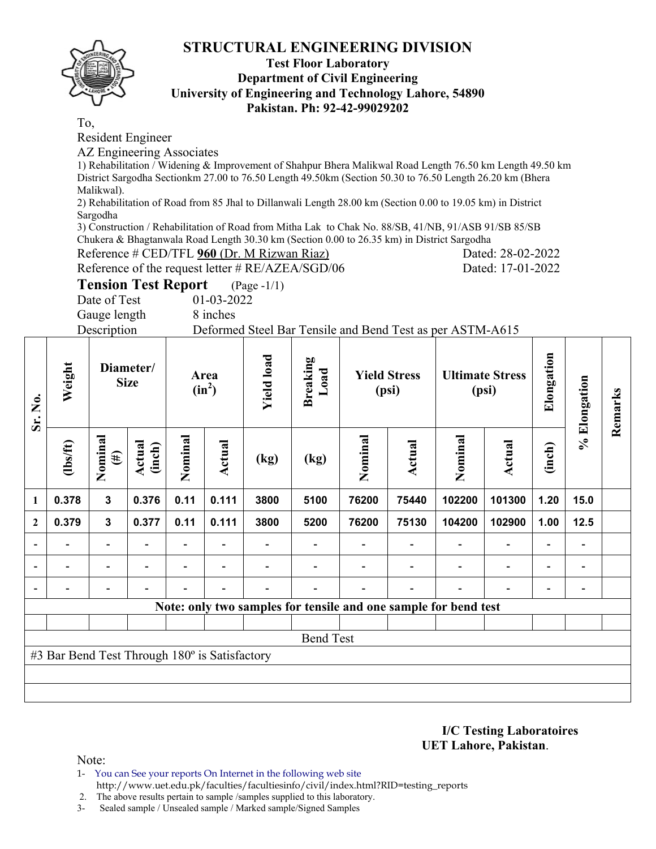

#### **Test Floor Laboratory Department of Civil Engineering University of Engineering and Technology Lahore, 54890 Pakistan. Ph: 92-42-99029202**

To,

Resident Engineer

AZ Engineering Associates

1) Rehabilitation / Widening & Improvement of Shahpur Bhera Malikwal Road Length 76.50 km Length 49.50 km District Sargodha Sectionkm 27.00 to 76.50 Length 49.50km (Section 50.30 to 76.50 Length 26.20 km (Bhera Malikwal).

2) Rehabilitation of Road from 85 Jhal to Dillanwali Length 28.00 km (Section 0.00 to 19.05 km) in District Sargodha

3) Construction / Rehabilitation of Road from Mitha Lak to Chak No. 88/SB, 41/NB, 91/ASB 91/SB 85/SB Chukera & Bhagtanwala Road Length 30.30 km (Section 0.00 to 26.35 km) in District Sargodha

Reference # CED/TFL **960** (Dr. M Rizwan Riaz) Dated: 28-02-2022

Reference of the request letter # RE/AZEA/SGD/06 Dated: 17-01-2022

**Tension Test Report** (Page -1/1)

Date of Test 01-03-2022

Gauge length 8 inches

Description Deformed Steel Bar Tensile and Bend Test as per ASTM-A615

| Sr. No.                  | Weight                                        |                          | Diameter/<br><b>Size</b> |         | Area<br>$(in^2)$ | <b>Yield load</b> | <b>Breaking</b><br>Load |         | <b>Yield Stress</b><br>(psi) |                                                                 | <b>Ultimate Stress</b><br>(psi) | Elongation               | % Elongation | Remarks |
|--------------------------|-----------------------------------------------|--------------------------|--------------------------|---------|------------------|-------------------|-------------------------|---------|------------------------------|-----------------------------------------------------------------|---------------------------------|--------------------------|--------------|---------|
|                          | $lbsft$                                       | Nominal<br>$(\#)$        | Actual<br>(inch)         | Nominal | Actual           | (kg)              | (kg)                    | Nominal | Actual                       | Nominal                                                         | Actual                          | (inch)                   |              |         |
| $\mathbf{1}$             | 0.378                                         | $\mathbf{3}$             | 0.376                    | 0.11    | 0.111            | 3800              | 5100                    | 76200   | 75440                        | 102200                                                          | 101300                          | 1.20                     | 15.0         |         |
| $\overline{2}$           | 0.379                                         | $\mathbf{3}$             | 0.377                    | 0.11    | 0.111            | 3800              | 5200                    | 76200   | 75130                        | 104200                                                          | 102900                          | 1.00                     | 12.5         |         |
| $\overline{\phantom{a}}$ |                                               | $\overline{\phantom{a}}$ |                          |         |                  |                   |                         |         |                              |                                                                 | $\overline{\phantom{a}}$        | $\overline{\phantom{a}}$ |              |         |
| $\overline{\phantom{0}}$ |                                               |                          |                          |         |                  |                   |                         |         |                              |                                                                 | $\overline{\phantom{0}}$        | ۰                        |              |         |
| $\overline{\phantom{a}}$ |                                               |                          |                          |         |                  |                   |                         |         |                              |                                                                 | -                               | $\overline{\phantom{0}}$ |              |         |
|                          |                                               |                          |                          |         |                  |                   |                         |         |                              | Note: only two samples for tensile and one sample for bend test |                                 |                          |              |         |
|                          |                                               |                          |                          |         |                  |                   |                         |         |                              |                                                                 |                                 |                          |              |         |
|                          |                                               |                          |                          |         |                  |                   | <b>Bend Test</b>        |         |                              |                                                                 |                                 |                          |              |         |
|                          | #3 Bar Bend Test Through 180° is Satisfactory |                          |                          |         |                  |                   |                         |         |                              |                                                                 |                                 |                          |              |         |
|                          |                                               |                          |                          |         |                  |                   |                         |         |                              |                                                                 |                                 |                          |              |         |
|                          |                                               |                          |                          |         |                  |                   |                         |         |                              |                                                                 |                                 |                          |              |         |

**I/C Testing Laboratoires UET Lahore, Pakistan**.

Note:

1- You can See your reports On Internet in the following web site

http://www.uet.edu.pk/faculties/facultiesinfo/civil/index.html?RID=testing\_reports

 2. The above results pertain to sample /samples supplied to this laboratory. 3- Sealed sample / Unsealed sample / Marked sample/Signed Samples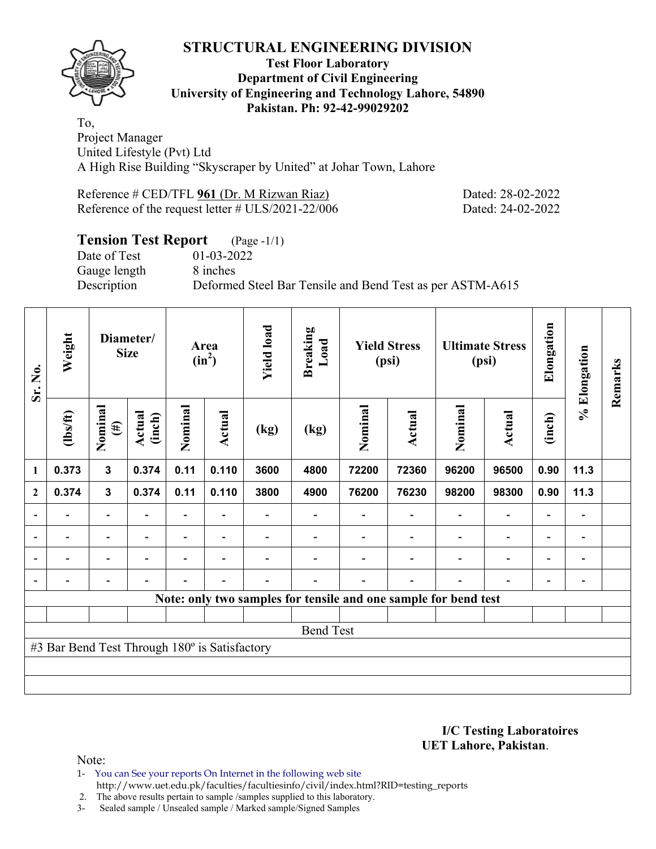

#### **Test Floor Laboratory Department of Civil Engineering University of Engineering and Technology Lahore, 54890 Pakistan. Ph: 92-42-99029202**

To, Project Manager United Lifestyle (Pvt) Ltd A High Rise Building "Skyscraper by United" at Johar Town, Lahore

Reference # CED/TFL 961 (Dr. M Rizwan Riaz) Dated: 28-02-2022 Reference of the request letter # ULS/2021-22/006 Dated: 24-02-2022

# **Tension Test Report** (Page -1/1)<br>Date of Test 01-03-2022

Gauge length 8 inches

 $01-03-2022$ Description Deformed Steel Bar Tensile and Bend Test as per ASTM-A615

| Sr. No.        | Weight                                                          |                          | Diameter/<br><b>Size</b> |                | Area<br>$(in^2)$ | <b>Yield load</b> | <b>Breaking</b><br>Load |         | <b>Yield Stress</b><br>(psi) |                          | <b>Ultimate Stress</b><br>(psi) | Elongation               | % Elongation             | Remarks |
|----------------|-----------------------------------------------------------------|--------------------------|--------------------------|----------------|------------------|-------------------|-------------------------|---------|------------------------------|--------------------------|---------------------------------|--------------------------|--------------------------|---------|
|                | $\frac{2}{10}$<br>0.373<br>1<br>0.374<br>$\boldsymbol{2}$       | Nominal<br>$(\#)$        | Actual<br>(inch)         | Nominal        | <b>Actual</b>    | (kg)              | (kg)                    | Nominal | Actual                       | Nominal                  | <b>Actual</b>                   | (inch)                   |                          |         |
|                |                                                                 | 3                        | 0.374                    | 0.11           | 0.110            | 3600              | 4800                    | 72200   | 72360                        | 96200                    | 96500                           | 0.90                     | 11.3                     |         |
|                |                                                                 | 3                        | 0.374                    | 0.11           | 0.110            | 3800              | 4900                    | 76200   | 76230                        | 98200                    | 98300                           | 0.90                     | 11.3                     |         |
| ۰              |                                                                 | Ξ.                       |                          |                |                  |                   |                         |         |                              |                          | $\blacksquare$                  | $\blacksquare$           |                          |         |
| $\blacksquare$ | $\overline{\phantom{0}}$                                        | $\blacksquare$           | $\overline{\phantom{a}}$ | ۰              | $\blacksquare$   |                   |                         |         | $\overline{\phantom{a}}$     | $\overline{\phantom{a}}$ | $\overline{\phantom{a}}$        | $\overline{\phantom{0}}$ | $\overline{\phantom{a}}$ |         |
|                | Ξ.                                                              | $\overline{\phantom{0}}$ | ۰                        | $\blacksquare$ | $\blacksquare$   |                   |                         |         |                              | $\blacksquare$           | $\overline{\phantom{a}}$        | $\overline{\phantom{a}}$ | $\blacksquare$           |         |
| $\blacksquare$ | $\blacksquare$                                                  | $\overline{\phantom{0}}$ | $\blacksquare$           | $\blacksquare$ | $\blacksquare$   | $\blacksquare$    |                         |         | $\overline{\phantom{0}}$     | ۰                        | $\overline{\phantom{0}}$        | $\overline{\phantom{0}}$ | $\blacksquare$           |         |
|                | Note: only two samples for tensile and one sample for bend test |                          |                          |                |                  |                   |                         |         |                              |                          |                                 |                          |                          |         |
|                |                                                                 |                          |                          |                |                  |                   |                         |         |                              |                          |                                 |                          |                          |         |
|                |                                                                 |                          |                          |                |                  |                   | <b>Bend Test</b>        |         |                              |                          |                                 |                          |                          |         |
|                | #3 Bar Bend Test Through 180° is Satisfactory                   |                          |                          |                |                  |                   |                         |         |                              |                          |                                 |                          |                          |         |
|                |                                                                 |                          |                          |                |                  |                   |                         |         |                              |                          |                                 |                          |                          |         |
|                |                                                                 |                          |                          |                |                  |                   |                         |         |                              |                          |                                 |                          |                          |         |

**I/C Testing Laboratoires UET Lahore, Pakistan**.

Note:

1- You can See your reports On Internet in the following web site http://www.uet.edu.pk/faculties/facultiesinfo/civil/index.html?RID=testing\_reports

2. The above results pertain to sample /samples supplied to this laboratory.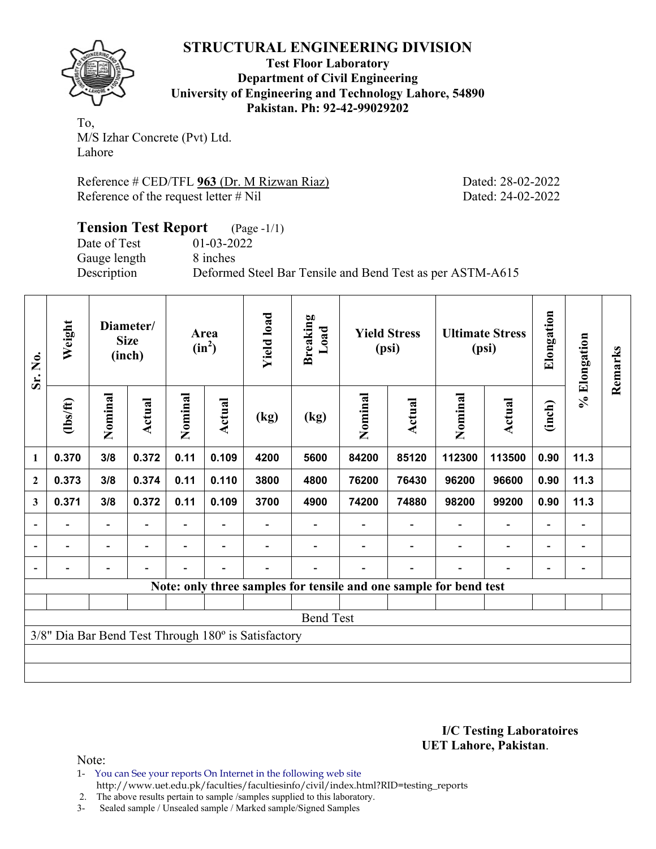

**Test Floor Laboratory Department of Civil Engineering University of Engineering and Technology Lahore, 54890 Pakistan. Ph: 92-42-99029202** 

To, M/S Izhar Concrete (Pvt) Ltd. Lahore

Reference # CED/TFL **963** (Dr. M Rizwan Riaz) Dated: 28-02-2022 Reference of the request letter # Nil Dated: 24-02-2022

#### **Tension Test Report** (Page -1/1) Date of Test 01-03-2022<br>Gauge length 8 inches Gauge length Description Deformed Steel Bar Tensile and Bend Test as per ASTM-A615

| Sr. No.        | Weight                   |                          | Diameter/<br><b>Size</b><br>(inch) |                          | Area<br>$(in^2)$         | <b>Yield load</b>                                   | <b>Breaking</b><br>Load |         | <b>Yield Stress</b><br>(psi) |                                                                   | <b>Ultimate Stress</b><br>(psi) | Elongation               | % Elongation                 | Remarks |
|----------------|--------------------------|--------------------------|------------------------------------|--------------------------|--------------------------|-----------------------------------------------------|-------------------------|---------|------------------------------|-------------------------------------------------------------------|---------------------------------|--------------------------|------------------------------|---------|
|                | $\frac{2}{10}$           | Nominal                  | <b>Actual</b>                      | Nominal                  | Actual                   | (kg)                                                | (kg)                    | Nominal | Actual                       | Nominal                                                           | <b>Actual</b>                   | (inch)                   |                              |         |
| 1              | 0.370                    | 3/8                      | 0.372                              | 0.11                     | 0.109                    | 4200                                                | 5600                    | 84200   | 85120                        | 112300                                                            | 113500                          | 0.90                     | 11.3                         |         |
| $\mathbf{2}$   | 0.373                    | 3/8                      | 0.374                              | 0.11                     | 0.110                    | 3800                                                | 4800                    | 76200   | 76430                        | 96200                                                             | 96600                           | 0.90                     | 11.3                         |         |
| 3              | 0.371                    | 3/8                      | 0.372                              | 0.11                     | 0.109                    | 3700                                                | 4900                    | 74200   | 74880                        | 98200                                                             | 99200                           | 0.90                     | 11.3                         |         |
| $\overline{a}$ |                          | -                        |                                    |                          |                          |                                                     |                         |         |                              |                                                                   |                                 | $\blacksquare$           | $\qquad \qquad \blacksquare$ |         |
| $\blacksquare$ | $\overline{\phantom{a}}$ | $\overline{\phantom{a}}$ | $\blacksquare$                     | Ξ.                       | $\overline{\phantom{a}}$ |                                                     |                         |         |                              |                                                                   | $\overline{\phantom{0}}$        | $\blacksquare$           | $\qquad \qquad \blacksquare$ |         |
|                | $\overline{\phantom{0}}$ | -                        |                                    | $\overline{\phantom{0}}$ | $\overline{\phantom{0}}$ |                                                     |                         |         |                              |                                                                   | $\overline{\phantom{0}}$        | $\overline{\phantom{0}}$ | $\overline{a}$               |         |
|                |                          |                          |                                    |                          |                          |                                                     |                         |         |                              | Note: only three samples for tensile and one sample for bend test |                                 |                          |                              |         |
|                |                          |                          |                                    |                          |                          |                                                     |                         |         |                              |                                                                   |                                 |                          |                              |         |
|                |                          |                          |                                    |                          |                          |                                                     | <b>Bend Test</b>        |         |                              |                                                                   |                                 |                          |                              |         |
|                |                          |                          |                                    |                          |                          | 3/8" Dia Bar Bend Test Through 180° is Satisfactory |                         |         |                              |                                                                   |                                 |                          |                              |         |
|                |                          |                          |                                    |                          |                          |                                                     |                         |         |                              |                                                                   |                                 |                          |                              |         |
|                |                          |                          |                                    |                          |                          |                                                     |                         |         |                              |                                                                   |                                 |                          |                              |         |

**I/C Testing Laboratoires UET Lahore, Pakistan**.

Note:

1- You can See your reports On Internet in the following web site http://www.uet.edu.pk/faculties/facultiesinfo/civil/index.html?RID=testing\_reports

2. The above results pertain to sample /samples supplied to this laboratory.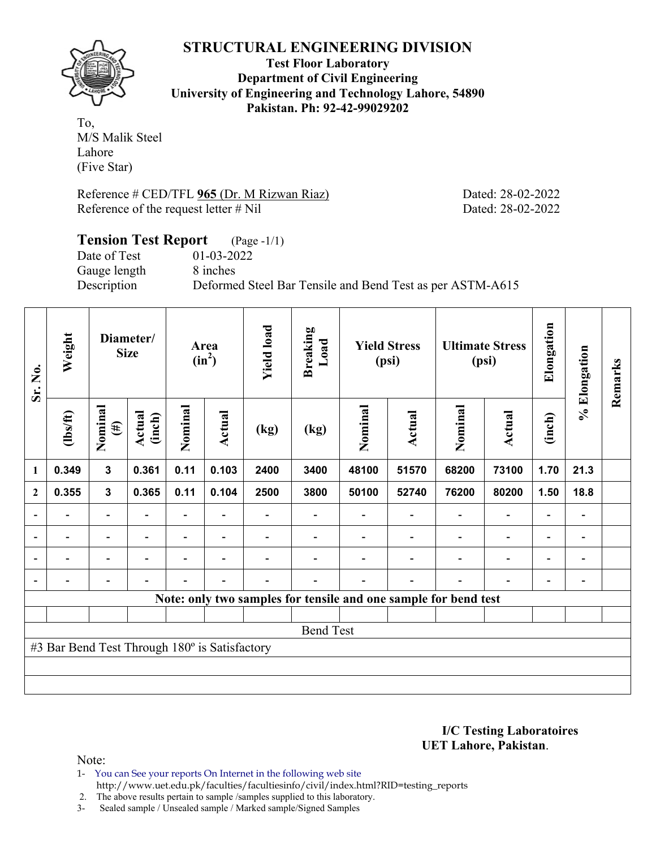

**Test Floor Laboratory Department of Civil Engineering University of Engineering and Technology Lahore, 54890 Pakistan. Ph: 92-42-99029202** 

To, M/S Malik Steel Lahore (Five Star)

Reference # CED/TFL **965** (Dr. M Rizwan Riaz) Dated: 28-02-2022 Reference of the request letter # Nil Dated: 28-02-2022

#### **Tension Test Report** (Page -1/1)<br>Date of Test 01-03-2022  $01-03-2022$ Gauge length 8 inches Description Deformed Steel Bar Tensile and Bend Test as per ASTM-A615

| Sr. No.        | Weight                                                          |                          | Diameter/<br><b>Size</b> |                | Area<br>$(in^2)$         | <b>Yield load</b> | <b>Breaking</b><br>Load |         | <b>Yield Stress</b><br>(psi) |                          | <b>Ultimate Stress</b><br>(psi) | Elongation               | % Elongation             | Remarks |
|----------------|-----------------------------------------------------------------|--------------------------|--------------------------|----------------|--------------------------|-------------------|-------------------------|---------|------------------------------|--------------------------|---------------------------------|--------------------------|--------------------------|---------|
|                | $\frac{2}{10}$                                                  | Nominal<br>$(\#)$        | Actual<br>(inch)         | Nominal        | <b>Actual</b>            | (kg)              | (kg)                    | Nominal | Actual                       | Nominal                  | <b>Actual</b>                   | (inch)                   |                          |         |
| 1              | 0.349                                                           | $\mathbf{3}$             | 0.361                    | 0.11           | 0.103                    | 2400              | 3400                    | 48100   | 51570                        | 68200                    | 73100                           | 1.70                     | 21.3                     |         |
| $\mathbf{2}$   | 0.355                                                           | $\mathbf{3}$             | 0.365                    | 0.11           | 0.104                    | 2500              | 3800                    | 50100   | 52740                        | 76200                    | 80200                           | 1.50                     | 18.8                     |         |
|                |                                                                 | $\overline{\phantom{0}}$ |                          |                |                          |                   |                         |         |                              |                          | $\overline{\phantom{0}}$        | $\overline{\phantom{0}}$ |                          |         |
| $\blacksquare$ | -                                                               | $\blacksquare$           | $\overline{\phantom{a}}$ |                | $\overline{\phantom{a}}$ |                   |                         |         |                              | $\overline{\phantom{a}}$ | $\overline{\phantom{0}}$        | $\overline{\phantom{0}}$ | $\overline{\phantom{0}}$ |         |
|                | $\blacksquare$                                                  | Ξ.                       |                          | $\blacksquare$ | $\blacksquare$           |                   |                         |         |                              | ۰                        | $\overline{\phantom{0}}$        | $\overline{\phantom{0}}$ |                          |         |
|                |                                                                 | -                        | Ē,                       |                | $\blacksquare$           |                   |                         |         | $\overline{\phantom{0}}$     |                          | $\overline{a}$                  | $\overline{a}$           |                          |         |
|                | Note: only two samples for tensile and one sample for bend test |                          |                          |                |                          |                   |                         |         |                              |                          |                                 |                          |                          |         |
|                |                                                                 |                          |                          |                |                          |                   |                         |         |                              |                          |                                 |                          |                          |         |
|                |                                                                 |                          |                          |                |                          |                   | <b>Bend Test</b>        |         |                              |                          |                                 |                          |                          |         |
|                | #3 Bar Bend Test Through 180° is Satisfactory                   |                          |                          |                |                          |                   |                         |         |                              |                          |                                 |                          |                          |         |
|                |                                                                 |                          |                          |                |                          |                   |                         |         |                              |                          |                                 |                          |                          |         |
|                |                                                                 |                          |                          |                |                          |                   |                         |         |                              |                          |                                 |                          |                          |         |

**I/C Testing Laboratoires UET Lahore, Pakistan**.

Note:

1- You can See your reports On Internet in the following web site http://www.uet.edu.pk/faculties/facultiesinfo/civil/index.html?RID=testing\_reports

2. The above results pertain to sample /samples supplied to this laboratory.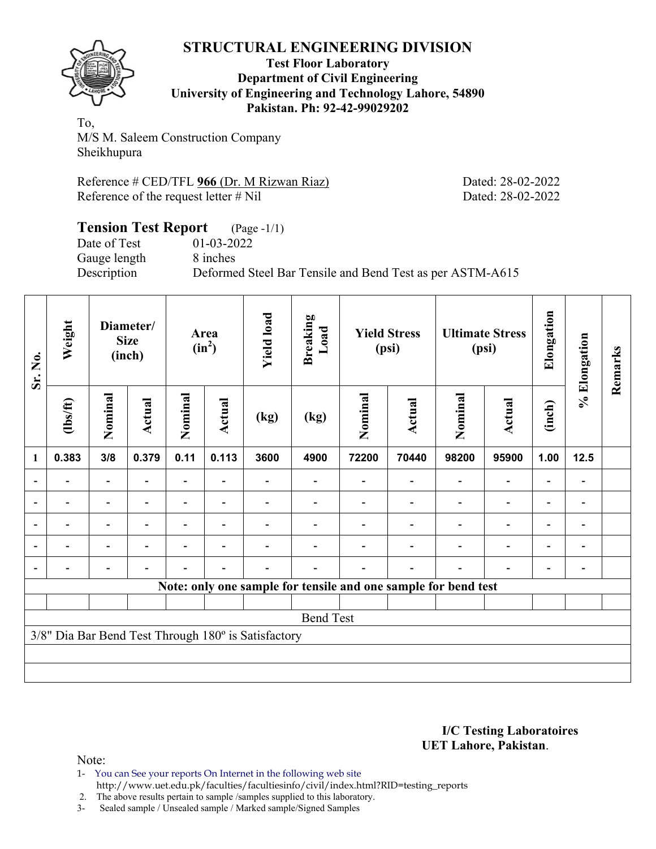

#### **Test Floor Laboratory Department of Civil Engineering University of Engineering and Technology Lahore, 54890 Pakistan. Ph: 92-42-99029202**

To, M/S M. Saleem Construction Company Sheikhupura

Reference # CED/TFL 966 (Dr. M Rizwan Riaz) Dated: 28-02-2022 Reference of the request letter # Nil Dated: 28-02-2022

#### **Tension Test Report** (Page -1/1) Date of Test 01-03-2022 Gauge length 8 inches Description Deformed Steel Bar Tensile and Bend Test as per ASTM-A615

| Sr. No.                  | Weight         |                          | Diameter/<br><b>Size</b><br>(inch) | Area<br>$(in^2)$ |                          | <b>Yield load</b>                                   | <b>Breaking</b><br>Load | <b>Yield Stress</b><br>(psi) |                                                                | <b>Ultimate Stress</b><br>(psi) |                          | Elongation | % Elongation | Remarks |
|--------------------------|----------------|--------------------------|------------------------------------|------------------|--------------------------|-----------------------------------------------------|-------------------------|------------------------------|----------------------------------------------------------------|---------------------------------|--------------------------|------------|--------------|---------|
|                          | $\frac{2}{10}$ | Nominal                  | Actual                             | Nominal          | Actual                   | (kg)                                                | (kg)                    | Nominal                      | <b>Actual</b>                                                  | Nominal                         | <b>Actual</b>            | (inch)     |              |         |
| 1                        | 0.383          | 3/8                      | 0.379                              | 0.11             | 0.113                    | 3600                                                | 4900                    | 72200                        | 70440                                                          | 98200                           | 95900                    | 1.00       | 12.5         |         |
| $\blacksquare$           | $\blacksquare$ | $\overline{\phantom{a}}$ | $\blacksquare$                     | Ξ.               | $\blacksquare$           |                                                     |                         |                              |                                                                |                                 | $\overline{\phantom{0}}$ |            | -            |         |
|                          |                |                          |                                    | $\blacksquare$   | $\overline{\phantom{a}}$ |                                                     |                         |                              |                                                                |                                 |                          |            | -            |         |
| $\overline{a}$           |                | -                        |                                    |                  | $\overline{\phantom{0}}$ |                                                     |                         |                              |                                                                |                                 |                          |            | -            |         |
| $\blacksquare$           | -              | -                        | $\blacksquare$                     | -                | $\overline{\phantom{a}}$ |                                                     |                         |                              |                                                                |                                 | $\blacksquare$           | ۰          | Ξ.           |         |
| $\overline{\phantom{0}}$ | -              | $\overline{\phantom{0}}$ |                                    |                  | $\overline{\phantom{0}}$ |                                                     |                         |                              |                                                                |                                 |                          |            | -            |         |
|                          |                |                          |                                    |                  |                          |                                                     |                         |                              | Note: only one sample for tensile and one sample for bend test |                                 |                          |            |              |         |
|                          |                |                          |                                    |                  |                          |                                                     |                         |                              |                                                                |                                 |                          |            |              |         |
|                          |                |                          |                                    |                  |                          |                                                     | <b>Bend Test</b>        |                              |                                                                |                                 |                          |            |              |         |
|                          |                |                          |                                    |                  |                          | 3/8" Dia Bar Bend Test Through 180° is Satisfactory |                         |                              |                                                                |                                 |                          |            |              |         |
|                          |                |                          |                                    |                  |                          |                                                     |                         |                              |                                                                |                                 |                          |            |              |         |
|                          |                |                          |                                    |                  |                          |                                                     |                         |                              |                                                                |                                 |                          |            |              |         |

#### **I/C Testing Laboratoires UET Lahore, Pakistan**.

Note:

1- You can See your reports On Internet in the following web site http://www.uet.edu.pk/faculties/facultiesinfo/civil/index.html?RID=testing\_reports

2. The above results pertain to sample /samples supplied to this laboratory.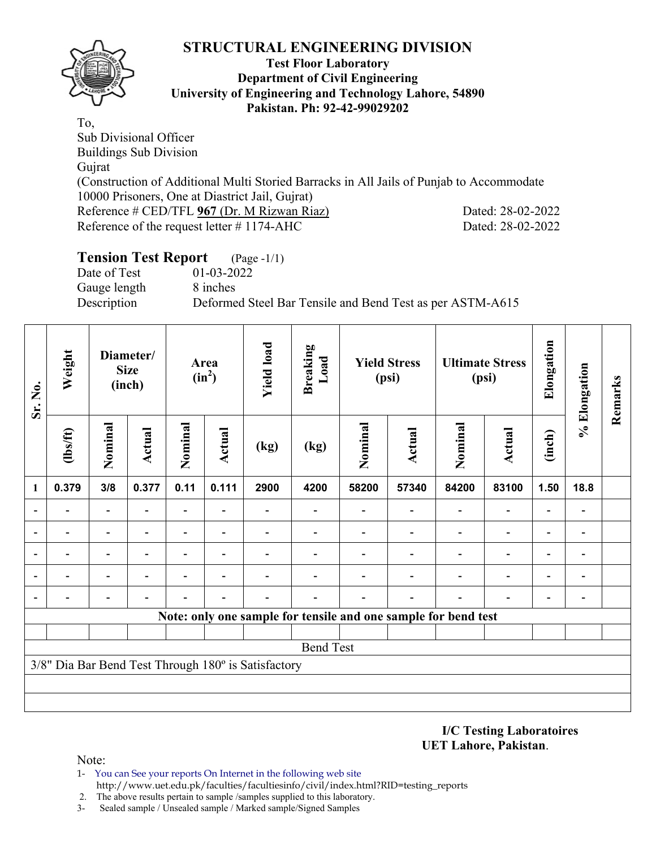

#### **Test Floor Laboratory Department of Civil Engineering University of Engineering and Technology Lahore, 54890 Pakistan. Ph: 92-42-99029202**

To, Sub Divisional Officer Buildings Sub Division Gujrat (Construction of Additional Multi Storied Barracks in All Jails of Punjab to Accommodate 10000 Prisoners, One at Diastrict Jail, Gujrat) Reference # CED/TFL 967 (Dr. M Rizwan Riaz) Dated: 28-02-2022 Reference of the request letter  $\# 1174-AHC$  Dated: 28-02-2022

# **Tension Test Report** (Page -1/1)

Date of Test 01-03-2022 Gauge length 8 inches

Description Deformed Steel Bar Tensile and Bend Test as per ASTM-A615

| Sr. No.                  | Weight   |                          | Diameter/<br><b>Size</b><br>(inch) |                          | Area<br>$(in^2)$         | <b>Yield load</b>                                   | <b>Breaking</b><br>Load                                        |         | <b>Yield Stress</b><br>(psi) |                          | <b>Ultimate Stress</b><br>(psi) | Elongation               | % Elongation                 | Remarks |
|--------------------------|----------|--------------------------|------------------------------------|--------------------------|--------------------------|-----------------------------------------------------|----------------------------------------------------------------|---------|------------------------------|--------------------------|---------------------------------|--------------------------|------------------------------|---------|
|                          | (1bs/ft) | Nominal                  | Actual                             | Nominal                  | <b>Actual</b>            | (kg)                                                | (kg)                                                           | Nominal | <b>Actual</b>                | Nominal                  | <b>Actual</b>                   | (inch)                   |                              |         |
| 1                        | 0.379    | 3/8                      | 0.377                              | 0.11                     | 0.111                    | 2900                                                | 4200                                                           | 58200   | 57340                        | 84200                    | 83100                           | 1.50                     | 18.8                         |         |
|                          |          | $\overline{\phantom{a}}$ | ۰                                  | $\overline{\phantom{0}}$ |                          |                                                     |                                                                |         |                              | $\overline{\phantom{0}}$ | $\overline{a}$                  | $\overline{\phantom{a}}$ |                              |         |
|                          |          | $\blacksquare$           | $\overline{\phantom{0}}$           | $\blacksquare$           | $\overline{\phantom{0}}$ |                                                     |                                                                |         |                              | $\blacksquare$           | $\overline{a}$                  | $\overline{\phantom{0}}$ |                              |         |
|                          |          | $\overline{\phantom{0}}$ |                                    |                          |                          |                                                     |                                                                |         |                              |                          | $\overline{\phantom{0}}$        | $\overline{\phantom{0}}$ |                              |         |
| $\overline{a}$           |          | $\overline{\phantom{0}}$ |                                    |                          | $\overline{\phantom{0}}$ |                                                     |                                                                |         |                              |                          | $\overline{a}$                  | $\overline{\phantom{0}}$ | $\qquad \qquad \blacksquare$ |         |
| $\overline{\phantom{0}}$ |          | $\overline{\phantom{0}}$ |                                    |                          |                          |                                                     |                                                                |         |                              | $\overline{\phantom{0}}$ |                                 | -                        |                              |         |
|                          |          |                          |                                    |                          |                          |                                                     | Note: only one sample for tensile and one sample for bend test |         |                              |                          |                                 |                          |                              |         |
|                          |          |                          |                                    |                          |                          |                                                     |                                                                |         |                              |                          |                                 |                          |                              |         |
|                          |          |                          |                                    |                          |                          |                                                     | <b>Bend Test</b>                                               |         |                              |                          |                                 |                          |                              |         |
|                          |          |                          |                                    |                          |                          | 3/8" Dia Bar Bend Test Through 180° is Satisfactory |                                                                |         |                              |                          |                                 |                          |                              |         |
|                          |          |                          |                                    |                          |                          |                                                     |                                                                |         |                              |                          |                                 |                          |                              |         |
|                          |          |                          |                                    |                          |                          |                                                     |                                                                |         |                              |                          |                                 |                          |                              |         |

**I/C Testing Laboratoires UET Lahore, Pakistan**.

- 1- You can See your reports On Internet in the following web site http://www.uet.edu.pk/faculties/facultiesinfo/civil/index.html?RID=testing\_reports
- 2. The above results pertain to sample /samples supplied to this laboratory.
- 3- Sealed sample / Unsealed sample / Marked sample/Signed Samples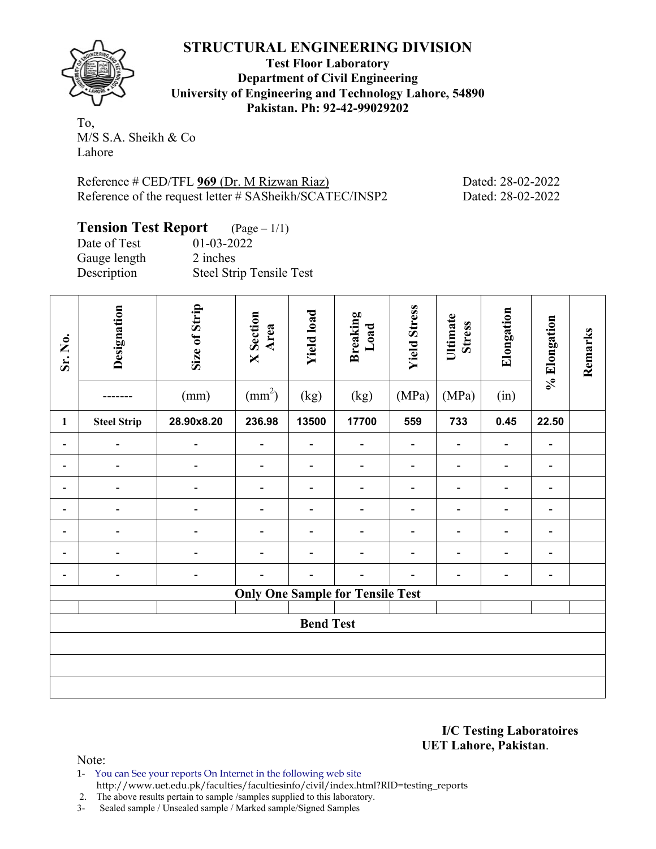

**Test Floor Laboratory Department of Civil Engineering University of Engineering and Technology Lahore, 54890 Pakistan. Ph: 92-42-99029202** 

To, M/S S.A. Sheikh & Co Lahore

Reference # CED/TFL 969 (Dr. M Rizwan Riaz) Dated: 28-02-2022 Reference of the request letter # SASheikh/SCATEC/INSP2 Dated: 28-02-2022

| <b>Tension Test Report</b> $(Page-1/1)$ |                          |
|-----------------------------------------|--------------------------|
| Date of Test                            | $01 - 03 - 2022$         |
| Gauge length                            | 2 inches                 |
| Description                             | Steel Strip Tensile Test |

| Sr. No.                      | Designation        | Size of Strip<br>(mm) | <b>X</b> Section<br>Area<br>$\text{(mm}^2)$ | <b>Yield load</b><br>(kg) | <b>Breaking</b><br>Load<br>(kg)         | <b>Yield Stress</b><br>(MPa) | Ultimate<br><b>Stress</b><br>(MPa) | Elongation<br>(in) | % Elongation                 | Remarks |
|------------------------------|--------------------|-----------------------|---------------------------------------------|---------------------------|-----------------------------------------|------------------------------|------------------------------------|--------------------|------------------------------|---------|
| $\mathbf{1}$                 | <b>Steel Strip</b> | 28.90x8.20            | 236.98                                      | 13500                     | 17700                                   | 559                          | 733                                | 0.45               | 22.50                        |         |
| $\qquad \qquad \blacksquare$ |                    |                       |                                             | -                         | $\overline{a}$                          |                              |                                    | Ē.                 | $\qquad \qquad \blacksquare$ |         |
| $\blacksquare$               |                    |                       |                                             | ۰                         | $\overline{a}$                          |                              |                                    | ۳                  | $\qquad \qquad \blacksquare$ |         |
|                              |                    |                       |                                             |                           | -                                       |                              |                                    |                    | $\overline{\phantom{a}}$     |         |
|                              |                    |                       |                                             |                           | -                                       |                              |                                    |                    | $\overline{\phantom{0}}$     |         |
|                              |                    |                       |                                             |                           | -                                       |                              |                                    |                    | $\overline{\phantom{0}}$     |         |
|                              |                    |                       |                                             |                           | $\overline{a}$                          |                              |                                    |                    | $\overline{\phantom{0}}$     |         |
| $\qquad \qquad \blacksquare$ |                    |                       |                                             |                           | $\blacksquare$                          |                              | $\overline{\phantom{0}}$           | ۳                  | $\overline{\phantom{a}}$     |         |
|                              |                    |                       |                                             |                           | <b>Only One Sample for Tensile Test</b> |                              |                                    |                    |                              |         |
|                              |                    |                       |                                             |                           |                                         |                              |                                    |                    |                              |         |
|                              |                    |                       |                                             | <b>Bend Test</b>          |                                         |                              |                                    |                    |                              |         |
|                              |                    |                       |                                             |                           |                                         |                              |                                    |                    |                              |         |
|                              |                    |                       |                                             |                           |                                         |                              |                                    |                    |                              |         |
|                              |                    |                       |                                             |                           |                                         |                              |                                    |                    |                              |         |

**I/C Testing Laboratoires UET Lahore, Pakistan**.

Note:

1- You can See your reports On Internet in the following web site http://www.uet.edu.pk/faculties/facultiesinfo/civil/index.html?RID=testing\_reports

2. The above results pertain to sample /samples supplied to this laboratory.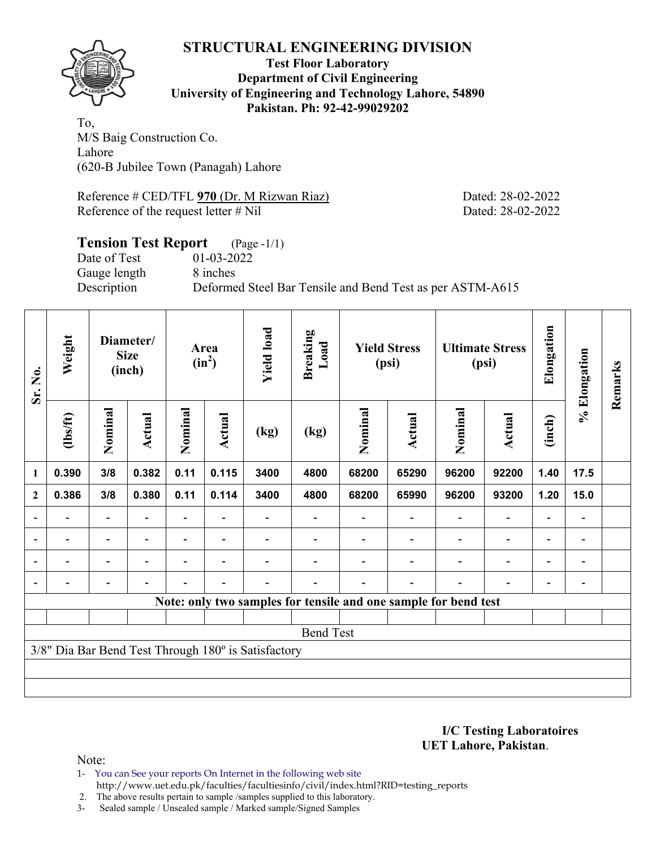

#### **Test Floor Laboratory Department of Civil Engineering University of Engineering and Technology Lahore, 54890 Pakistan. Ph: 92-42-99029202**

To, M/S Baig Construction Co. Lahore (620-B Jubilee Town (Panagah) Lahore

Reference # CED/TFL 970 (Dr. M Rizwan Riaz) Dated: 28-02-2022 Reference of the request letter # Nil Dated: 28-02-2022

#### **Tension Test Report** (Page -1/1) Date of Test 01-03-2022 Gauge length 8 inches Description Deformed Steel Bar Tensile and Bend Test as per ASTM-A615

| Sr. No.                  | Weight         |                          | Diameter/<br><b>Size</b><br>(inch) |                | Area<br>$(in^2)$         | <b>Yield load</b>                                   | <b>Breaking</b><br>Load |         | <b>Yield Stress</b><br>(psi)                                    |                          | <b>Ultimate Stress</b><br>(psi) | Elongation               | % Elongation             | Remarks |
|--------------------------|----------------|--------------------------|------------------------------------|----------------|--------------------------|-----------------------------------------------------|-------------------------|---------|-----------------------------------------------------------------|--------------------------|---------------------------------|--------------------------|--------------------------|---------|
|                          | $\frac{2}{10}$ | Nominal                  | Actual                             | Nominal        | <b>Actual</b>            | (kg)                                                | (kg)                    | Nominal | Actual                                                          | Nominal                  | <b>Actual</b>                   | (inch)                   |                          |         |
| $\mathbf{1}$             | 0.390          | 3/8                      | 0.382                              | 0.11           | 0.115                    | 3400                                                | 4800                    | 68200   | 65290                                                           | 96200                    | 92200                           | 1.40                     | 17.5                     |         |
| $\boldsymbol{2}$         | 0.386          | 3/8                      | 0.380                              | 0.11           | 0.114                    | 3400                                                | 4800                    | 68200   | 65990                                                           | 96200                    | 93200                           | 1.20                     | 15.0                     |         |
| $\blacksquare$           |                | $\overline{\phantom{0}}$ |                                    |                |                          |                                                     |                         |         |                                                                 |                          | $\overline{a}$                  | $\overline{\phantom{0}}$ |                          |         |
| $\overline{\phantom{a}}$ |                | $\overline{\phantom{a}}$ |                                    |                |                          |                                                     |                         |         |                                                                 | $\overline{\phantom{0}}$ | $\overline{\phantom{a}}$        | Ξ.                       | $\overline{\phantom{a}}$ |         |
| $\overline{\phantom{a}}$ | $\blacksquare$ | $\overline{\phantom{a}}$ | ۰                                  | $\blacksquare$ | $\overline{\phantom{0}}$ |                                                     |                         |         |                                                                 |                          | $\overline{\phantom{a}}$        | Ξ.                       | $\overline{\phantom{0}}$ |         |
| $\blacksquare$           |                | $\blacksquare$           | $\blacksquare$                     |                | $\overline{\phantom{0}}$ |                                                     |                         |         | $\overline{\phantom{0}}$                                        |                          | $\blacksquare$                  | $\blacksquare$           | $\overline{\phantom{a}}$ |         |
|                          |                |                          |                                    |                |                          |                                                     |                         |         | Note: only two samples for tensile and one sample for bend test |                          |                                 |                          |                          |         |
|                          |                |                          |                                    |                |                          |                                                     |                         |         |                                                                 |                          |                                 |                          |                          |         |
|                          |                |                          |                                    |                |                          |                                                     | <b>Bend Test</b>        |         |                                                                 |                          |                                 |                          |                          |         |
|                          |                |                          |                                    |                |                          | 3/8" Dia Bar Bend Test Through 180° is Satisfactory |                         |         |                                                                 |                          |                                 |                          |                          |         |
|                          |                |                          |                                    |                |                          |                                                     |                         |         |                                                                 |                          |                                 |                          |                          |         |
|                          |                |                          |                                    |                |                          |                                                     |                         |         |                                                                 |                          |                                 |                          |                          |         |

#### **I/C Testing Laboratoires UET Lahore, Pakistan**.

Note:

1- You can See your reports On Internet in the following web site http://www.uet.edu.pk/faculties/facultiesinfo/civil/index.html?RID=testing\_reports

2. The above results pertain to sample /samples supplied to this laboratory.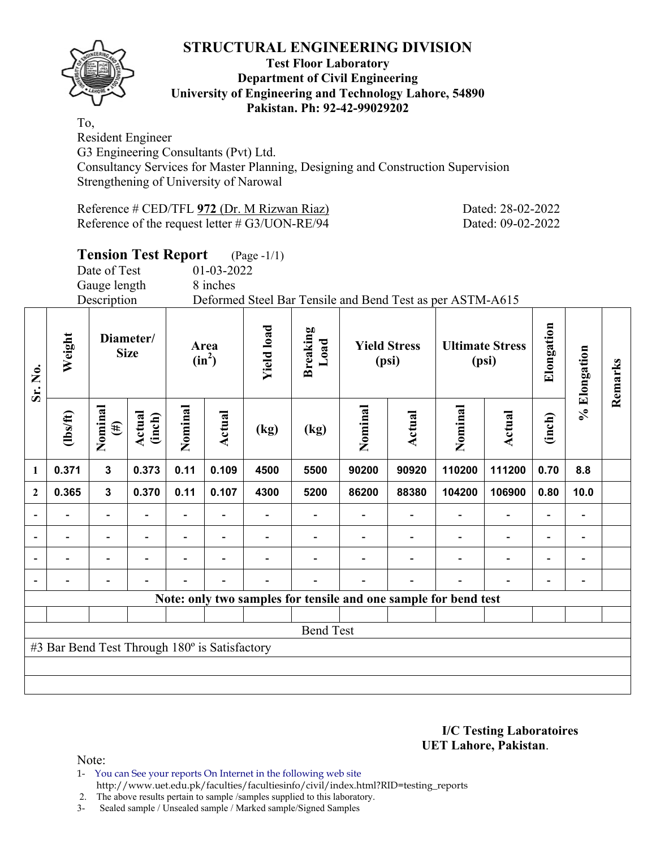

#### **Test Floor Laboratory Department of Civil Engineering University of Engineering and Technology Lahore, 54890 Pakistan. Ph: 92-42-99029202**

To, Resident Engineer

G3 Engineering Consultants (Pvt) Ltd.

Consultancy Services for Master Planning, Designing and Construction Supervision Strengthening of University of Narowal

| Reference # CED/TFL 972 (Dr. M Rizwan Riaz)       |  |
|---------------------------------------------------|--|
| Reference of the request letter $\#$ G3/UON-RE/94 |  |

# **Tension Test Report** (Page -1/1)

Date of Test 01-03-2022 Gauge length 8 inches

Description Deformed Steel Bar Tensile and Bend Test as per ASTM-A615

| Sr. No.        | Weight                                        | Diameter/<br><b>Size</b> |                  |                          | Area<br>$(in^2)$ | <b>Yield load</b> | <b>Breaking</b><br>Load |                   | <b>Yield Stress</b><br>(psi) |                                                                 | <b>Ultimate Stress</b><br>(psi) | Elongation               | % Elongation                 | Remarks |
|----------------|-----------------------------------------------|--------------------------|------------------|--------------------------|------------------|-------------------|-------------------------|-------------------|------------------------------|-----------------------------------------------------------------|---------------------------------|--------------------------|------------------------------|---------|
|                | $\frac{2}{10}$                                | Nominal<br>$(\#)$        | Actual<br>(inch) | Nominal                  | Actual           | (kg)              | (kg)                    | Nominal<br>Actual |                              | Nominal                                                         | <b>Actual</b>                   | (inch)                   |                              |         |
| $\mathbf{1}$   | 0.371                                         | $\mathbf{3}$             | 0.373            | 0.11                     | 0.109            | 4500              | 5500                    | 90200             | 90920                        | 110200                                                          | 111200                          | 0.70                     | 8.8                          |         |
| $\overline{2}$ | 0.365                                         | $\mathbf{3}$             | 0.370            | 0.11                     | 0.107            | 4300              | 5200                    | 86200             | 88380                        | 104200                                                          | 106900                          | 0.80                     | 10.0                         |         |
| $\blacksquare$ | $\blacksquare$                                | $\overline{\phantom{0}}$ |                  |                          |                  |                   |                         |                   |                              |                                                                 | $\overline{\phantom{a}}$        |                          | $\qquad \qquad \blacksquare$ |         |
| $\blacksquare$ | -                                             | $\overline{\phantom{0}}$ |                  | $\overline{\phantom{0}}$ | ۰                |                   |                         |                   |                              |                                                                 | $\overline{\phantom{0}}$        | $\overline{\phantom{0}}$ | $\qquad \qquad \blacksquare$ |         |
|                |                                               | $\blacksquare$           |                  |                          |                  |                   |                         |                   |                              |                                                                 |                                 |                          |                              |         |
|                |                                               |                          |                  |                          |                  |                   |                         |                   |                              |                                                                 |                                 |                          |                              |         |
|                |                                               |                          |                  |                          |                  |                   |                         |                   |                              | Note: only two samples for tensile and one sample for bend test |                                 |                          |                              |         |
|                |                                               |                          |                  |                          |                  |                   |                         |                   |                              |                                                                 |                                 |                          |                              |         |
|                |                                               |                          |                  |                          |                  |                   | <b>Bend Test</b>        |                   |                              |                                                                 |                                 |                          |                              |         |
|                | #3 Bar Bend Test Through 180° is Satisfactory |                          |                  |                          |                  |                   |                         |                   |                              |                                                                 |                                 |                          |                              |         |
|                |                                               |                          |                  |                          |                  |                   |                         |                   |                              |                                                                 |                                 |                          |                              |         |
|                |                                               |                          |                  |                          |                  |                   |                         |                   |                              |                                                                 |                                 |                          |                              |         |

#### **I/C Testing Laboratoires UET Lahore, Pakistan**.

Dated: 28-02-2022 Dated: 09-02-2022

Note:

1- You can See your reports On Internet in the following web site http://www.uet.edu.pk/faculties/facultiesinfo/civil/index.html?RID=testing\_reports

2. The above results pertain to sample /samples supplied to this laboratory.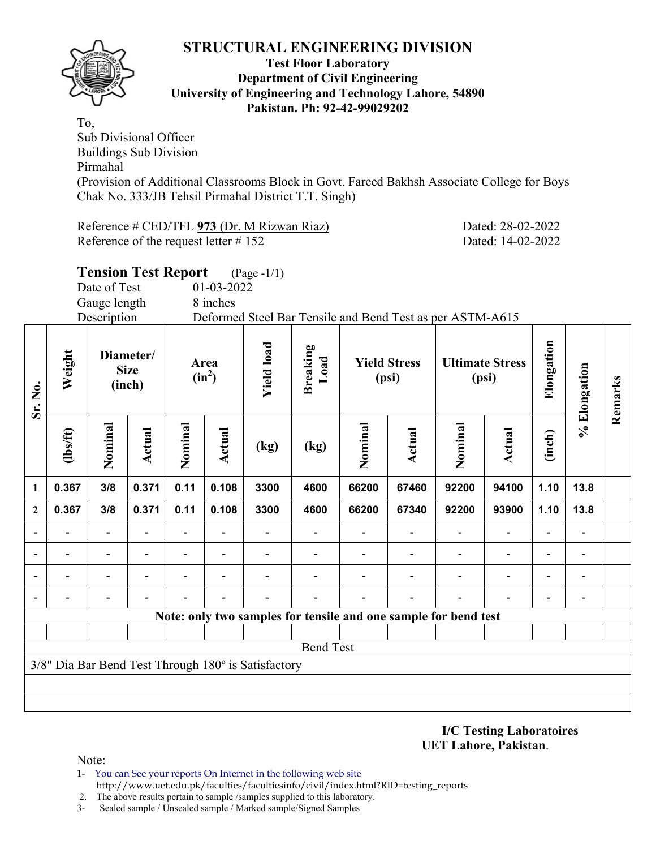

#### **Test Floor Laboratory Department of Civil Engineering University of Engineering and Technology Lahore, 54890 Pakistan. Ph: 92-42-99029202**

To, Sub Divisional Officer Buildings Sub Division Pirmahal (Provision of Additional Classrooms Block in Govt. Fareed Bakhsh Associate College for Boys Chak No. 333/JB Tehsil Pirmahal District T.T. Singh)

Reference # CED/TFL 973 (Dr. M Rizwan Riaz) Dated: 28-02-2022 Reference of the request letter # 152 Dated: 14-02-2022

|       | <b>Tension Test Report</b>         |                  | $(Page - 1/1)$         |                                         |                                                           |                                 |       |
|-------|------------------------------------|------------------|------------------------|-----------------------------------------|-----------------------------------------------------------|---------------------------------|-------|
|       | Date of Test                       | 01-03-2022       |                        |                                         |                                                           |                                 |       |
|       | Gauge length                       | 8 inches         |                        |                                         |                                                           |                                 |       |
|       | Description                        |                  |                        |                                         | Deformed Steel Bar Tensile and Bend Test as per ASTM-A615 |                                 |       |
| eight | Diameter/<br><b>Size</b><br>(inch) | Area<br>$(in^2)$ | $_{\rm{0a}}$<br>르<br>್ | reaking<br>$\overline{\mathbf{a}}$<br>≃ | <b>Yield Stress</b><br>(psi)                              | <b>Ultimate Stress</b><br>(psi) | ıgati |

| Sr. No.        | Weigl<br><b>Size</b><br>(inch)                                          |         | Area<br>$(in^2)$ |         | <b>Breaki</b><br>$\textsf{Loc}$<br><b>Yield</b> l |      | <b>Yield Stress</b><br>(psi)                                    |         | <b>Ultimate Stress</b><br>(psi) |         | Elongat                  | % Elongation             | Remarks |  |
|----------------|-------------------------------------------------------------------------|---------|------------------|---------|---------------------------------------------------|------|-----------------------------------------------------------------|---------|---------------------------------|---------|--------------------------|--------------------------|---------|--|
|                | (lbs/ft)                                                                | Nominal | Actual           | Nominal | Actual                                            | (kg) | (kg)                                                            | Nominal | <b>Actual</b>                   | Nominal | Actual                   | (inch)                   |         |  |
| 1              | 0.367                                                                   | 3/8     | 0.371            | 0.11    | 0.108                                             | 3300 | 4600                                                            | 66200   | 67460                           | 92200   | 94100                    | 1.10                     | 13.8    |  |
| $\mathbf{2}$   | 0.367                                                                   | 3/8     | 0.371            | 0.11    | 0.108                                             | 3300 | 4600                                                            | 66200   | 67340                           | 92200   | 93900                    | 1.10                     | 13.8    |  |
|                |                                                                         |         |                  |         |                                                   |      |                                                                 |         |                                 |         | $\overline{\phantom{0}}$ |                          |         |  |
| $\blacksquare$ |                                                                         |         |                  |         |                                                   |      |                                                                 |         |                                 |         | $\overline{a}$           | $\overline{\phantom{0}}$ |         |  |
|                |                                                                         |         |                  |         |                                                   |      |                                                                 |         |                                 |         | $\overline{\phantom{0}}$ | $\overline{\phantom{0}}$ |         |  |
| $\blacksquare$ |                                                                         |         |                  |         |                                                   |      |                                                                 |         |                                 |         | $\overline{\phantom{0}}$ | $\overline{\phantom{0}}$ |         |  |
|                |                                                                         |         |                  |         |                                                   |      | Note: only two samples for tensile and one sample for bend test |         |                                 |         |                          |                          |         |  |
|                |                                                                         |         |                  |         |                                                   |      |                                                                 |         |                                 |         |                          |                          |         |  |
|                | <b>Bend Test</b><br>3/8" Dia Bar Bend Test Through 180° is Satisfactory |         |                  |         |                                                   |      |                                                                 |         |                                 |         |                          |                          |         |  |
|                |                                                                         |         |                  |         |                                                   |      |                                                                 |         |                                 |         |                          |                          |         |  |
|                |                                                                         |         |                  |         |                                                   |      |                                                                 |         |                                 |         |                          |                          |         |  |
|                |                                                                         |         |                  |         |                                                   |      |                                                                 |         |                                 |         |                          |                          |         |  |

**I/C Testing Laboratoires UET Lahore, Pakistan**.

- 1- You can See your reports On Internet in the following web site http://www.uet.edu.pk/faculties/facultiesinfo/civil/index.html?RID=testing\_reports
- 2. The above results pertain to sample /samples supplied to this laboratory.
- 3- Sealed sample / Unsealed sample / Marked sample/Signed Samples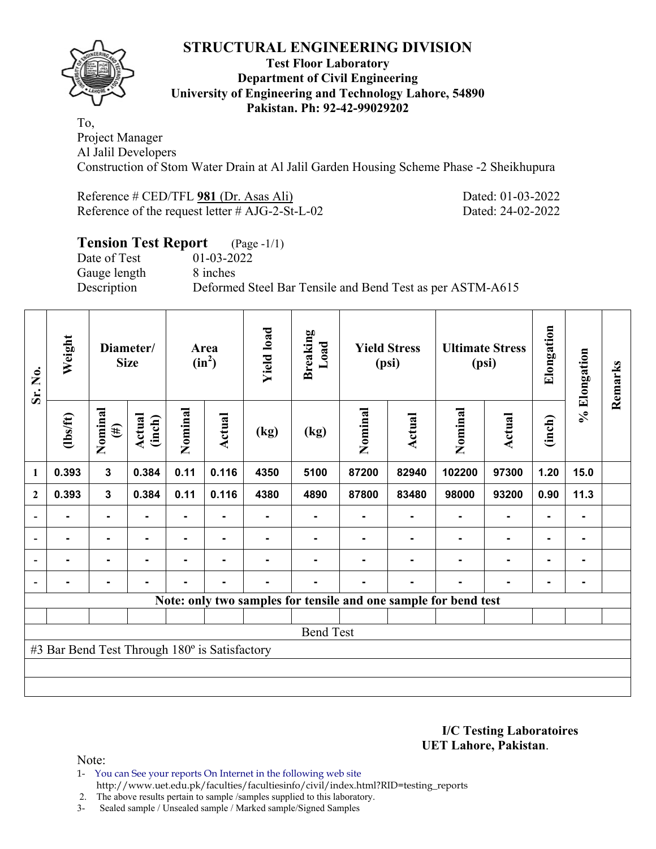

#### **Test Floor Laboratory Department of Civil Engineering University of Engineering and Technology Lahore, 54890 Pakistan. Ph: 92-42-99029202**

To, Project Manager Al Jalil Developers Construction of Stom Water Drain at Al Jalil Garden Housing Scheme Phase -2 Sheikhupura

Reference # CED/TFL **981** (Dr. Asas Ali) Dated: 01-03-2022 Reference of the request letter # AJG-2-St-L-02 Dated: 24-02-2022

# **Tension Test Report** (Page -1/1)

Date of Test 01-03-2022 Gauge length 8 inches

Description Deformed Steel Bar Tensile and Bend Test as per ASTM-A615

| Sr. No.                  | Weight                                        |                         | Diameter/<br><b>Size</b> |                | Area<br>$(in^2)$ | <b>Yield load</b> | <b>Breaking</b><br>Load |         | <b>Yield Stress</b><br>(psi) |                                                                 | <b>Ultimate Stress</b><br>(psi) | Elongation     | % Elongation | Remarks |
|--------------------------|-----------------------------------------------|-------------------------|--------------------------|----------------|------------------|-------------------|-------------------------|---------|------------------------------|-----------------------------------------------------------------|---------------------------------|----------------|--------------|---------|
|                          | $\frac{2}{10}$                                | Nominal<br>$(\#)$       | Actual<br>(inch)         | Nominal        | <b>Actual</b>    | (kg)              | (kg)                    | Nominal | <b>Actual</b>                | Nominal                                                         | Actual                          | (inch)         |              |         |
| $\mathbf{1}$             | 0.393                                         | $\overline{\mathbf{3}}$ | 0.384                    | 0.11           | 0.116            | 4350              | 5100                    | 87200   | 82940                        | 102200                                                          | 97300                           | 1.20           | 15.0         |         |
| $\mathbf{2}$             | 0.393                                         | $\mathbf{3}$            | 0.384                    | 0.11           | 0.116            | 4380              | 4890                    | 87800   | 83480                        | 98000                                                           | 93200                           | 0.90           | 11.3         |         |
|                          |                                               | $\blacksquare$          |                          |                |                  |                   |                         |         |                              |                                                                 | ۰                               |                |              |         |
| $\overline{\phantom{0}}$ |                                               | $\blacksquare$          |                          |                |                  |                   |                         |         |                              |                                                                 | ٠                               | $\blacksquare$ |              |         |
| $\blacksquare$           | $\blacksquare$                                | $\blacksquare$          | $\blacksquare$           | ٠              | ٠                |                   |                         |         |                              | ٠                                                               | ٠                               | $\blacksquare$ |              |         |
|                          | $\blacksquare$                                |                         |                          | $\blacksquare$ | ٠                | $\blacksquare$    |                         |         | $\blacksquare$               |                                                                 | ٠                               | $\blacksquare$ |              |         |
|                          |                                               |                         |                          |                |                  |                   |                         |         |                              | Note: only two samples for tensile and one sample for bend test |                                 |                |              |         |
|                          |                                               |                         |                          |                |                  |                   |                         |         |                              |                                                                 |                                 |                |              |         |
|                          |                                               |                         |                          |                |                  |                   | <b>Bend Test</b>        |         |                              |                                                                 |                                 |                |              |         |
|                          | #3 Bar Bend Test Through 180° is Satisfactory |                         |                          |                |                  |                   |                         |         |                              |                                                                 |                                 |                |              |         |
|                          |                                               |                         |                          |                |                  |                   |                         |         |                              |                                                                 |                                 |                |              |         |
|                          |                                               |                         |                          |                |                  |                   |                         |         |                              |                                                                 |                                 |                |              |         |

**I/C Testing Laboratoires UET Lahore, Pakistan**.

Note:

1- You can See your reports On Internet in the following web site http://www.uet.edu.pk/faculties/facultiesinfo/civil/index.html?RID=testing\_reports

2. The above results pertain to sample /samples supplied to this laboratory.